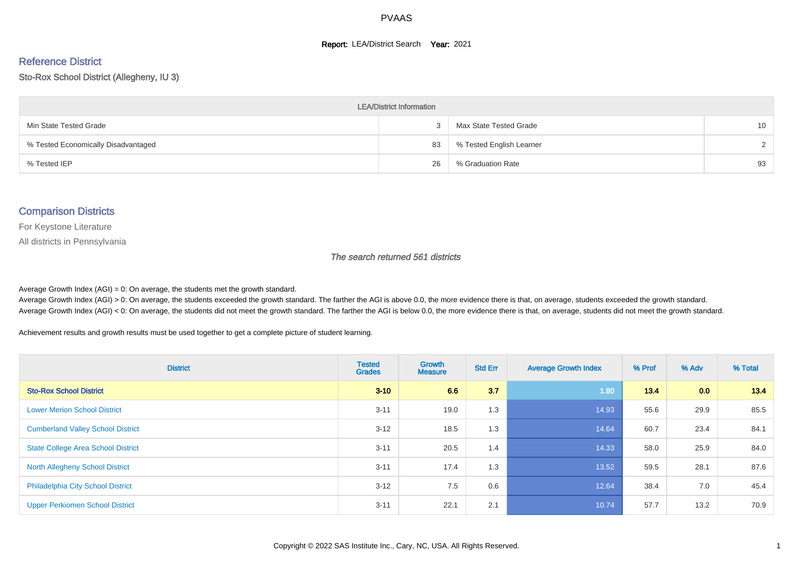#### **Report: LEA/District Search Year: 2021**

#### Reference District

Sto-Rox School District (Allegheny, IU 3)

| <b>LEA/District Information</b>     |    |                          |                 |  |  |  |  |  |  |
|-------------------------------------|----|--------------------------|-----------------|--|--|--|--|--|--|
| Min State Tested Grade              |    | Max State Tested Grade   | 10 <sup>°</sup> |  |  |  |  |  |  |
| % Tested Economically Disadvantaged | 83 | % Tested English Learner | $\mathcal{D}$   |  |  |  |  |  |  |
| % Tested IEP                        | 26 | % Graduation Rate        | 93              |  |  |  |  |  |  |

#### Comparison Districts

For Keystone Literature

All districts in Pennsylvania

The search returned 561 districts

Average Growth Index  $(AGI) = 0$ : On average, the students met the growth standard.

Average Growth Index (AGI) > 0: On average, the students exceeded the growth standard. The farther the AGI is above 0.0, the more evidence there is that, on average, students exceeded the growth standard. Average Growth Index (AGI) < 0: On average, the students did not meet the growth standard. The farther the AGI is below 0.0, the more evidence there is that, on average, students did not meet the growth standard.

Achievement results and growth results must be used together to get a complete picture of student learning.

| <b>District</b>                           | <b>Tested</b><br><b>Grades</b> | <b>Growth</b><br><b>Measure</b> | <b>Std Err</b> | <b>Average Growth Index</b> | % Prof | % Adv | % Total |
|-------------------------------------------|--------------------------------|---------------------------------|----------------|-----------------------------|--------|-------|---------|
| <b>Sto-Rox School District</b>            | $3 - 10$                       | 6.6                             | 3.7            | 1.80                        | 13.4   | 0.0   | 13.4    |
| <b>Lower Merion School District</b>       | $3 - 11$                       | 19.0                            | 1.3            | 14.93                       | 55.6   | 29.9  | 85.5    |
| <b>Cumberland Valley School District</b>  | $3 - 12$                       | 18.5                            | 1.3            | 14.64                       | 60.7   | 23.4  | 84.1    |
| <b>State College Area School District</b> | $3 - 11$                       | 20.5                            | 1.4            | 14.33                       | 58.0   | 25.9  | 84.0    |
| <b>North Allegheny School District</b>    | $3 - 11$                       | 17.4                            | 1.3            | 13.52                       | 59.5   | 28.1  | 87.6    |
| <b>Philadelphia City School District</b>  | $3 - 12$                       | 7.5                             | 0.6            | 12.64                       | 38.4   | 7.0   | 45.4    |
| <b>Upper Perkiomen School District</b>    | $3 - 11$                       | 22.1                            | 2.1            | 10.74                       | 57.7   | 13.2  | 70.9    |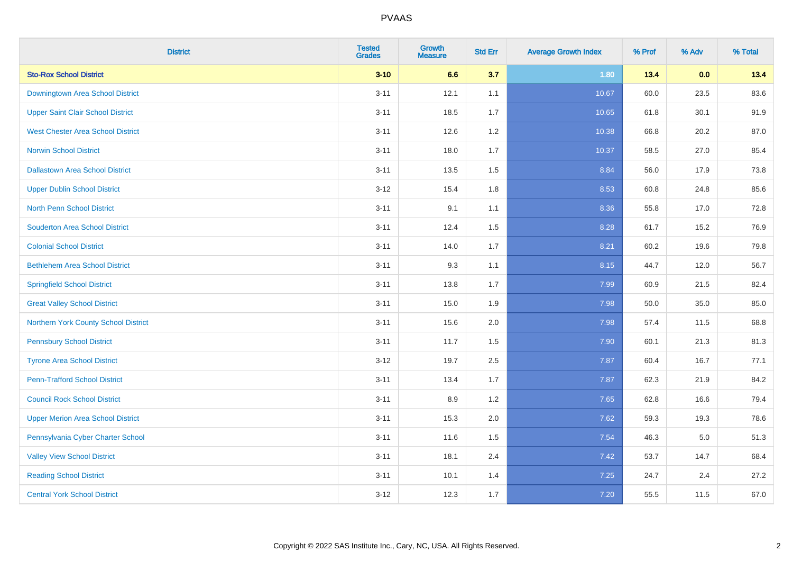| <b>District</b>                          | <b>Tested</b><br><b>Grades</b> | <b>Growth</b><br><b>Measure</b> | <b>Std Err</b> | <b>Average Growth Index</b> | % Prof | % Adv   | % Total |
|------------------------------------------|--------------------------------|---------------------------------|----------------|-----------------------------|--------|---------|---------|
| <b>Sto-Rox School District</b>           | $3 - 10$                       | 6.6                             | 3.7            | 1.80                        | 13.4   | 0.0     | 13.4    |
| Downingtown Area School District         | $3 - 11$                       | 12.1                            | 1.1            | 10.67                       | 60.0   | 23.5    | 83.6    |
| <b>Upper Saint Clair School District</b> | $3 - 11$                       | 18.5                            | 1.7            | 10.65                       | 61.8   | 30.1    | 91.9    |
| <b>West Chester Area School District</b> | $3 - 11$                       | 12.6                            | 1.2            | 10.38                       | 66.8   | 20.2    | 87.0    |
| <b>Norwin School District</b>            | $3 - 11$                       | 18.0                            | 1.7            | 10.37                       | 58.5   | 27.0    | 85.4    |
| <b>Dallastown Area School District</b>   | $3 - 11$                       | 13.5                            | 1.5            | 8.84                        | 56.0   | 17.9    | 73.8    |
| <b>Upper Dublin School District</b>      | $3 - 12$                       | 15.4                            | 1.8            | 8.53                        | 60.8   | 24.8    | 85.6    |
| <b>North Penn School District</b>        | $3 - 11$                       | 9.1                             | 1.1            | 8.36                        | 55.8   | 17.0    | 72.8    |
| <b>Souderton Area School District</b>    | $3 - 11$                       | 12.4                            | 1.5            | 8.28                        | 61.7   | 15.2    | 76.9    |
| <b>Colonial School District</b>          | $3 - 11$                       | 14.0                            | 1.7            | 8.21                        | 60.2   | 19.6    | 79.8    |
| <b>Bethlehem Area School District</b>    | $3 - 11$                       | 9.3                             | 1.1            | 8.15                        | 44.7   | 12.0    | 56.7    |
| <b>Springfield School District</b>       | $3 - 11$                       | 13.8                            | 1.7            | 7.99                        | 60.9   | 21.5    | 82.4    |
| <b>Great Valley School District</b>      | $3 - 11$                       | 15.0                            | 1.9            | 7.98                        | 50.0   | 35.0    | 85.0    |
| Northern York County School District     | $3 - 11$                       | 15.6                            | 2.0            | 7.98                        | 57.4   | 11.5    | 68.8    |
| <b>Pennsbury School District</b>         | $3 - 11$                       | 11.7                            | 1.5            | 7.90                        | 60.1   | 21.3    | 81.3    |
| <b>Tyrone Area School District</b>       | $3 - 12$                       | 19.7                            | 2.5            | 7.87                        | 60.4   | 16.7    | 77.1    |
| <b>Penn-Trafford School District</b>     | $3 - 11$                       | 13.4                            | 1.7            | 7.87                        | 62.3   | 21.9    | 84.2    |
| <b>Council Rock School District</b>      | $3 - 11$                       | 8.9                             | 1.2            | 7.65                        | 62.8   | 16.6    | 79.4    |
| <b>Upper Merion Area School District</b> | $3 - 11$                       | 15.3                            | 2.0            | 7.62                        | 59.3   | 19.3    | 78.6    |
| Pennsylvania Cyber Charter School        | $3 - 11$                       | 11.6                            | 1.5            | 7.54                        | 46.3   | $5.0\,$ | 51.3    |
| <b>Valley View School District</b>       | $3 - 11$                       | 18.1                            | 2.4            | 7.42                        | 53.7   | 14.7    | 68.4    |
| <b>Reading School District</b>           | $3 - 11$                       | 10.1                            | 1.4            | 7.25                        | 24.7   | 2.4     | 27.2    |
| <b>Central York School District</b>      | $3 - 12$                       | 12.3                            | 1.7            | 7.20                        | 55.5   | 11.5    | 67.0    |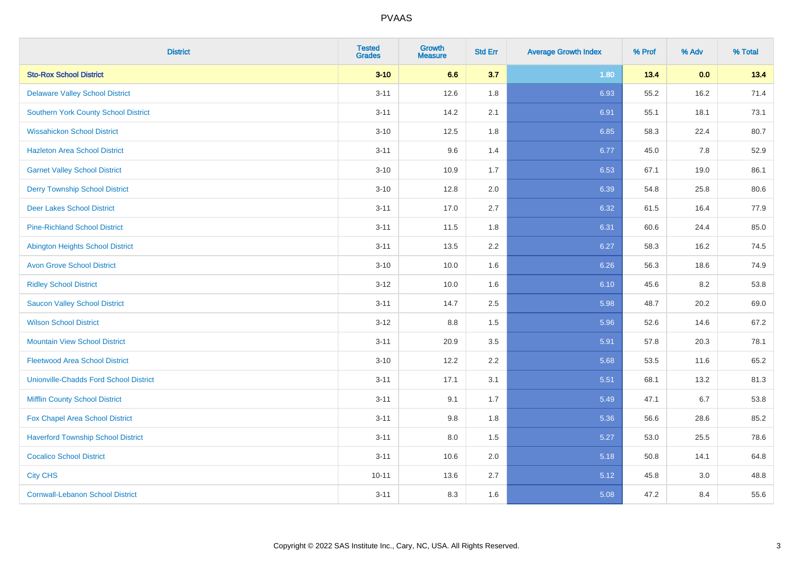| <b>District</b>                               | <b>Tested</b><br><b>Grades</b> | Growth<br><b>Measure</b> | <b>Std Err</b> | <b>Average Growth Index</b> | % Prof | % Adv | % Total |
|-----------------------------------------------|--------------------------------|--------------------------|----------------|-----------------------------|--------|-------|---------|
| <b>Sto-Rox School District</b>                | $3 - 10$                       | 6.6                      | 3.7            | 1.80                        | 13.4   | 0.0   | 13.4    |
| <b>Delaware Valley School District</b>        | $3 - 11$                       | 12.6                     | 1.8            | 6.93                        | 55.2   | 16.2  | 71.4    |
| <b>Southern York County School District</b>   | $3 - 11$                       | 14.2                     | 2.1            | 6.91                        | 55.1   | 18.1  | 73.1    |
| <b>Wissahickon School District</b>            | $3 - 10$                       | 12.5                     | 1.8            | 6.85                        | 58.3   | 22.4  | 80.7    |
| <b>Hazleton Area School District</b>          | $3 - 11$                       | 9.6                      | 1.4            | 6.77                        | 45.0   | 7.8   | 52.9    |
| <b>Garnet Valley School District</b>          | $3 - 10$                       | 10.9                     | 1.7            | 6.53                        | 67.1   | 19.0  | 86.1    |
| <b>Derry Township School District</b>         | $3 - 10$                       | 12.8                     | 2.0            | 6.39                        | 54.8   | 25.8  | 80.6    |
| <b>Deer Lakes School District</b>             | $3 - 11$                       | 17.0                     | 2.7            | 6.32                        | 61.5   | 16.4  | 77.9    |
| <b>Pine-Richland School District</b>          | $3 - 11$                       | 11.5                     | 1.8            | 6.31                        | 60.6   | 24.4  | 85.0    |
| <b>Abington Heights School District</b>       | $3 - 11$                       | 13.5                     | 2.2            | 6.27                        | 58.3   | 16.2  | 74.5    |
| <b>Avon Grove School District</b>             | $3 - 10$                       | 10.0                     | 1.6            | 6.26                        | 56.3   | 18.6  | 74.9    |
| <b>Ridley School District</b>                 | $3 - 12$                       | 10.0                     | 1.6            | 6.10                        | 45.6   | 8.2   | 53.8    |
| <b>Saucon Valley School District</b>          | $3 - 11$                       | 14.7                     | 2.5            | 5.98                        | 48.7   | 20.2  | 69.0    |
| <b>Wilson School District</b>                 | $3 - 12$                       | 8.8                      | 1.5            | 5.96                        | 52.6   | 14.6  | 67.2    |
| <b>Mountain View School District</b>          | $3 - 11$                       | 20.9                     | 3.5            | 5.91                        | 57.8   | 20.3  | 78.1    |
| <b>Fleetwood Area School District</b>         | $3 - 10$                       | 12.2                     | 2.2            | 5.68                        | 53.5   | 11.6  | 65.2    |
| <b>Unionville-Chadds Ford School District</b> | $3 - 11$                       | 17.1                     | 3.1            | 5.51                        | 68.1   | 13.2  | 81.3    |
| <b>Mifflin County School District</b>         | $3 - 11$                       | 9.1                      | 1.7            | 5.49                        | 47.1   | 6.7   | 53.8    |
| Fox Chapel Area School District               | $3 - 11$                       | 9.8                      | 1.8            | 5.36                        | 56.6   | 28.6  | 85.2    |
| <b>Haverford Township School District</b>     | $3 - 11$                       | 8.0                      | 1.5            | 5.27                        | 53.0   | 25.5  | 78.6    |
| <b>Cocalico School District</b>               | $3 - 11$                       | 10.6                     | 2.0            | 5.18                        | 50.8   | 14.1  | 64.8    |
| <b>City CHS</b>                               | $10 - 11$                      | 13.6                     | 2.7            | 5.12                        | 45.8   | 3.0   | 48.8    |
| <b>Cornwall-Lebanon School District</b>       | $3 - 11$                       | 8.3                      | 1.6            | 5.08                        | 47.2   | 8.4   | 55.6    |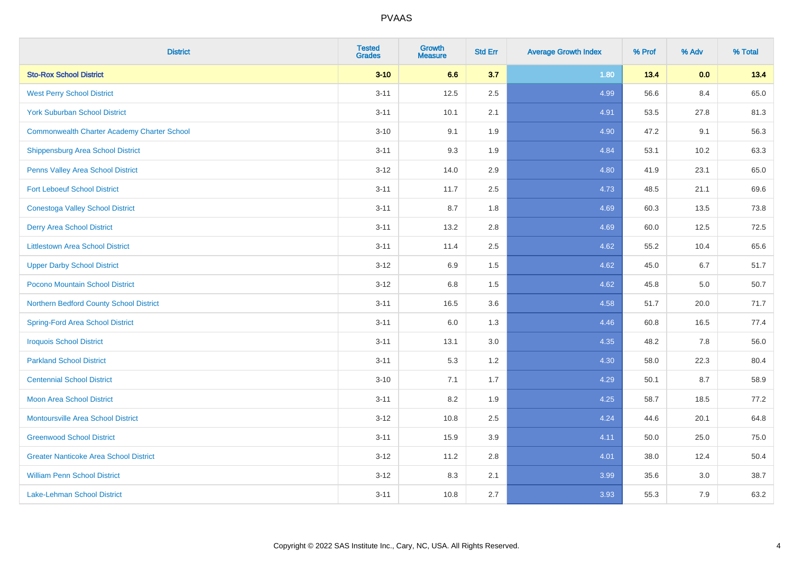| <b>District</b>                                    | <b>Tested</b><br><b>Grades</b> | <b>Growth</b><br><b>Measure</b> | <b>Std Err</b> | <b>Average Growth Index</b> | % Prof | % Adv | % Total |
|----------------------------------------------------|--------------------------------|---------------------------------|----------------|-----------------------------|--------|-------|---------|
| <b>Sto-Rox School District</b>                     | $3 - 10$                       | 6.6                             | 3.7            | 1.80                        | 13.4   | 0.0   | 13.4    |
| <b>West Perry School District</b>                  | $3 - 11$                       | 12.5                            | 2.5            | 4.99                        | 56.6   | 8.4   | 65.0    |
| <b>York Suburban School District</b>               | $3 - 11$                       | 10.1                            | 2.1            | 4.91                        | 53.5   | 27.8  | 81.3    |
| <b>Commonwealth Charter Academy Charter School</b> | $3 - 10$                       | 9.1                             | 1.9            | 4.90                        | 47.2   | 9.1   | 56.3    |
| Shippensburg Area School District                  | $3 - 11$                       | 9.3                             | 1.9            | 4.84                        | 53.1   | 10.2  | 63.3    |
| Penns Valley Area School District                  | $3 - 12$                       | 14.0                            | 2.9            | 4.80                        | 41.9   | 23.1  | 65.0    |
| <b>Fort Leboeuf School District</b>                | $3 - 11$                       | 11.7                            | 2.5            | 4.73                        | 48.5   | 21.1  | 69.6    |
| <b>Conestoga Valley School District</b>            | $3 - 11$                       | 8.7                             | 1.8            | 4.69                        | 60.3   | 13.5  | 73.8    |
| <b>Derry Area School District</b>                  | $3 - 11$                       | 13.2                            | 2.8            | 4.69                        | 60.0   | 12.5  | 72.5    |
| <b>Littlestown Area School District</b>            | $3 - 11$                       | 11.4                            | $2.5\,$        | 4.62                        | 55.2   | 10.4  | 65.6    |
| <b>Upper Darby School District</b>                 | $3 - 12$                       | 6.9                             | 1.5            | 4.62                        | 45.0   | 6.7   | 51.7    |
| Pocono Mountain School District                    | $3 - 12$                       | 6.8                             | 1.5            | 4.62                        | 45.8   | 5.0   | 50.7    |
| Northern Bedford County School District            | $3 - 11$                       | 16.5                            | 3.6            | 4.58                        | 51.7   | 20.0  | 71.7    |
| <b>Spring-Ford Area School District</b>            | $3 - 11$                       | 6.0                             | 1.3            | 4.46                        | 60.8   | 16.5  | 77.4    |
| <b>Iroquois School District</b>                    | $3 - 11$                       | 13.1                            | 3.0            | 4.35                        | 48.2   | 7.8   | 56.0    |
| <b>Parkland School District</b>                    | $3 - 11$                       | 5.3                             | 1.2            | 4.30                        | 58.0   | 22.3  | 80.4    |
| <b>Centennial School District</b>                  | $3 - 10$                       | 7.1                             | 1.7            | 4.29                        | 50.1   | 8.7   | 58.9    |
| <b>Moon Area School District</b>                   | $3 - 11$                       | 8.2                             | 1.9            | 4.25                        | 58.7   | 18.5  | 77.2    |
| <b>Montoursville Area School District</b>          | $3 - 12$                       | 10.8                            | 2.5            | 4.24                        | 44.6   | 20.1  | 64.8    |
| <b>Greenwood School District</b>                   | $3 - 11$                       | 15.9                            | 3.9            | 4.11                        | 50.0   | 25.0  | 75.0    |
| <b>Greater Nanticoke Area School District</b>      | $3 - 12$                       | 11.2                            | 2.8            | 4.01                        | 38.0   | 12.4  | 50.4    |
| <b>William Penn School District</b>                | $3 - 12$                       | 8.3                             | 2.1            | 3.99                        | 35.6   | 3.0   | 38.7    |
| <b>Lake-Lehman School District</b>                 | $3 - 11$                       | 10.8                            | 2.7            | 3.93                        | 55.3   | 7.9   | 63.2    |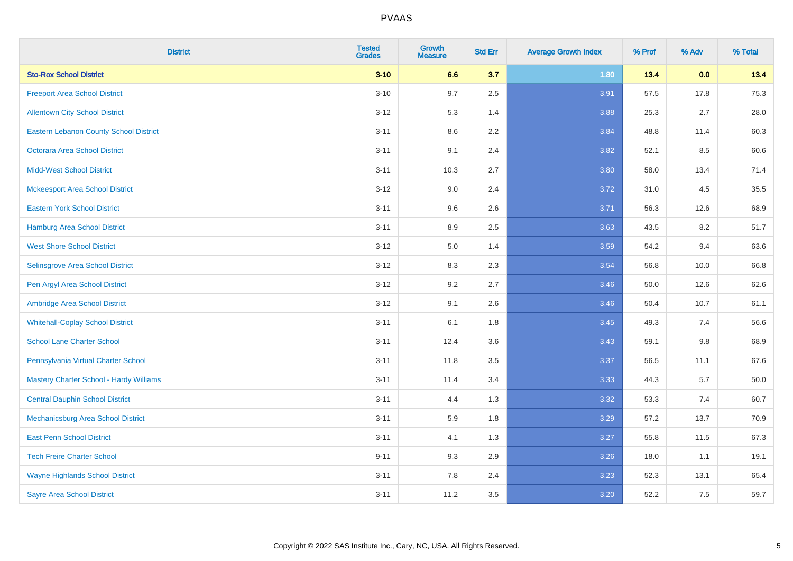| <b>District</b>                               | <b>Tested</b><br><b>Grades</b> | <b>Growth</b><br><b>Measure</b> | <b>Std Err</b> | <b>Average Growth Index</b> | % Prof | % Adv   | % Total |
|-----------------------------------------------|--------------------------------|---------------------------------|----------------|-----------------------------|--------|---------|---------|
| <b>Sto-Rox School District</b>                | $3 - 10$                       | 6.6                             | 3.7            | 1.80                        | 13.4   | 0.0     | 13.4    |
| <b>Freeport Area School District</b>          | $3 - 10$                       | 9.7                             | 2.5            | 3.91                        | 57.5   | 17.8    | 75.3    |
| <b>Allentown City School District</b>         | $3 - 12$                       | 5.3                             | 1.4            | 3.88                        | 25.3   | 2.7     | 28.0    |
| <b>Eastern Lebanon County School District</b> | $3 - 11$                       | 8.6                             | 2.2            | 3.84                        | 48.8   | 11.4    | 60.3    |
| <b>Octorara Area School District</b>          | $3 - 11$                       | 9.1                             | 2.4            | 3.82                        | 52.1   | 8.5     | 60.6    |
| <b>Midd-West School District</b>              | $3 - 11$                       | 10.3                            | 2.7            | 3.80                        | 58.0   | 13.4    | 71.4    |
| <b>Mckeesport Area School District</b>        | $3 - 12$                       | 9.0                             | 2.4            | 3.72                        | 31.0   | 4.5     | 35.5    |
| <b>Eastern York School District</b>           | $3 - 11$                       | 9.6                             | 2.6            | 3.71                        | 56.3   | 12.6    | 68.9    |
| <b>Hamburg Area School District</b>           | $3 - 11$                       | 8.9                             | 2.5            | 3.63                        | 43.5   | 8.2     | 51.7    |
| <b>West Shore School District</b>             | $3 - 12$                       | 5.0                             | 1.4            | 3.59                        | 54.2   | 9.4     | 63.6    |
| Selinsgrove Area School District              | $3-12$                         | 8.3                             | 2.3            | 3.54                        | 56.8   | 10.0    | 66.8    |
| Pen Argyl Area School District                | $3-12$                         | 9.2                             | 2.7            | 3.46                        | 50.0   | 12.6    | 62.6    |
| Ambridge Area School District                 | $3 - 12$                       | 9.1                             | 2.6            | 3.46                        | 50.4   | 10.7    | 61.1    |
| <b>Whitehall-Coplay School District</b>       | $3 - 11$                       | 6.1                             | 1.8            | 3.45                        | 49.3   | 7.4     | 56.6    |
| <b>School Lane Charter School</b>             | $3 - 11$                       | 12.4                            | 3.6            | 3.43                        | 59.1   | $9.8\,$ | 68.9    |
| Pennsylvania Virtual Charter School           | $3 - 11$                       | 11.8                            | 3.5            | 3.37                        | 56.5   | 11.1    | 67.6    |
| Mastery Charter School - Hardy Williams       | $3 - 11$                       | 11.4                            | 3.4            | 3.33                        | 44.3   | 5.7     | 50.0    |
| <b>Central Dauphin School District</b>        | $3 - 11$                       | 4.4                             | 1.3            | 3.32                        | 53.3   | 7.4     | 60.7    |
| Mechanicsburg Area School District            | $3 - 11$                       | 5.9                             | 1.8            | 3.29                        | 57.2   | 13.7    | 70.9    |
| <b>East Penn School District</b>              | $3 - 11$                       | 4.1                             | 1.3            | 3.27                        | 55.8   | 11.5    | 67.3    |
| <b>Tech Freire Charter School</b>             | $9 - 11$                       | 9.3                             | 2.9            | 3.26                        | 18.0   | 1.1     | 19.1    |
| <b>Wayne Highlands School District</b>        | $3 - 11$                       | 7.8                             | 2.4            | 3.23                        | 52.3   | 13.1    | 65.4    |
| <b>Sayre Area School District</b>             | $3 - 11$                       | 11.2                            | 3.5            | 3.20                        | 52.2   | 7.5     | 59.7    |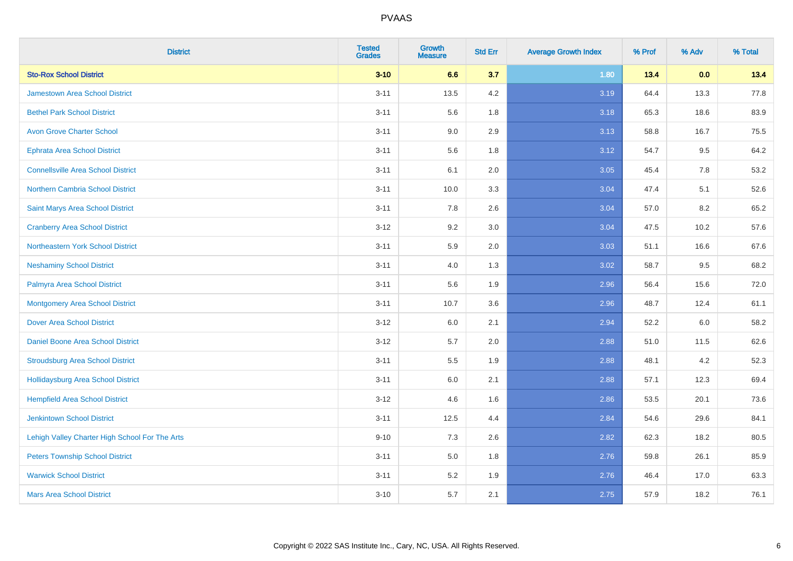| <b>District</b>                                | <b>Tested</b><br><b>Grades</b> | <b>Growth</b><br><b>Measure</b> | <b>Std Err</b> | <b>Average Growth Index</b> | % Prof | % Adv | % Total |
|------------------------------------------------|--------------------------------|---------------------------------|----------------|-----------------------------|--------|-------|---------|
| <b>Sto-Rox School District</b>                 | $3 - 10$                       | 6.6                             | 3.7            | 1.80                        | 13.4   | 0.0   | 13.4    |
| <b>Jamestown Area School District</b>          | $3 - 11$                       | 13.5                            | 4.2            | 3.19                        | 64.4   | 13.3  | 77.8    |
| <b>Bethel Park School District</b>             | $3 - 11$                       | 5.6                             | 1.8            | 3.18                        | 65.3   | 18.6  | 83.9    |
| <b>Avon Grove Charter School</b>               | $3 - 11$                       | 9.0                             | 2.9            | 3.13                        | 58.8   | 16.7  | 75.5    |
| <b>Ephrata Area School District</b>            | $3 - 11$                       | 5.6                             | 1.8            | 3.12                        | 54.7   | 9.5   | 64.2    |
| <b>Connellsville Area School District</b>      | $3 - 11$                       | 6.1                             | 2.0            | 3.05                        | 45.4   | 7.8   | 53.2    |
| <b>Northern Cambria School District</b>        | $3 - 11$                       | 10.0                            | 3.3            | 3.04                        | 47.4   | 5.1   | 52.6    |
| Saint Marys Area School District               | $3 - 11$                       | 7.8                             | 2.6            | 3.04                        | 57.0   | 8.2   | 65.2    |
| <b>Cranberry Area School District</b>          | $3 - 12$                       | 9.2                             | 3.0            | 3.04                        | 47.5   | 10.2  | 57.6    |
| Northeastern York School District              | $3 - 11$                       | 5.9                             | 2.0            | 3.03                        | 51.1   | 16.6  | 67.6    |
| <b>Neshaminy School District</b>               | $3 - 11$                       | 4.0                             | 1.3            | 3.02                        | 58.7   | 9.5   | 68.2    |
| Palmyra Area School District                   | $3 - 11$                       | 5.6                             | 1.9            | 2.96                        | 56.4   | 15.6  | 72.0    |
| <b>Montgomery Area School District</b>         | $3 - 11$                       | 10.7                            | 3.6            | 2.96                        | 48.7   | 12.4  | 61.1    |
| <b>Dover Area School District</b>              | $3 - 12$                       | 6.0                             | 2.1            | 2.94                        | 52.2   | 6.0   | 58.2    |
| Daniel Boone Area School District              | $3 - 12$                       | 5.7                             | 2.0            | 2.88                        | 51.0   | 11.5  | 62.6    |
| <b>Stroudsburg Area School District</b>        | $3 - 11$                       | $5.5\,$                         | 1.9            | 2.88                        | 48.1   | 4.2   | 52.3    |
| <b>Hollidaysburg Area School District</b>      | $3 - 11$                       | 6.0                             | 2.1            | 2.88                        | 57.1   | 12.3  | 69.4    |
| <b>Hempfield Area School District</b>          | $3 - 12$                       | 4.6                             | 1.6            | 2.86                        | 53.5   | 20.1  | 73.6    |
| <b>Jenkintown School District</b>              | $3 - 11$                       | 12.5                            | 4.4            | 2.84                        | 54.6   | 29.6  | 84.1    |
| Lehigh Valley Charter High School For The Arts | $9 - 10$                       | 7.3                             | 2.6            | 2.82                        | 62.3   | 18.2  | 80.5    |
| <b>Peters Township School District</b>         | $3 - 11$                       | 5.0                             | 1.8            | 2.76                        | 59.8   | 26.1  | 85.9    |
| <b>Warwick School District</b>                 | $3 - 11$                       | 5.2                             | 1.9            | 2.76                        | 46.4   | 17.0  | 63.3    |
| <b>Mars Area School District</b>               | $3 - 10$                       | 5.7                             | 2.1            | 2.75                        | 57.9   | 18.2  | 76.1    |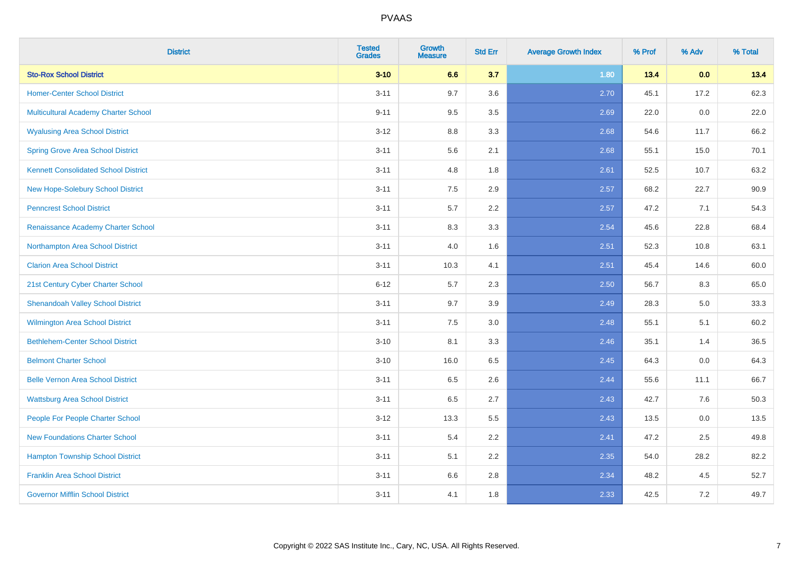| <b>District</b>                             | <b>Tested</b><br><b>Grades</b> | <b>Growth</b><br><b>Measure</b> | <b>Std Err</b> | <b>Average Growth Index</b> | % Prof | % Adv | % Total |
|---------------------------------------------|--------------------------------|---------------------------------|----------------|-----------------------------|--------|-------|---------|
| <b>Sto-Rox School District</b>              | $3 - 10$                       | 6.6                             | 3.7            | 1.80                        | 13.4   | 0.0   | 13.4    |
| <b>Homer-Center School District</b>         | $3 - 11$                       | 9.7                             | 3.6            | 2.70                        | 45.1   | 17.2  | 62.3    |
| Multicultural Academy Charter School        | $9 - 11$                       | 9.5                             | 3.5            | 2.69                        | 22.0   | 0.0   | 22.0    |
| <b>Wyalusing Area School District</b>       | $3-12$                         | 8.8                             | 3.3            | 2.68                        | 54.6   | 11.7  | 66.2    |
| <b>Spring Grove Area School District</b>    | $3 - 11$                       | 5.6                             | 2.1            | 2.68                        | 55.1   | 15.0  | 70.1    |
| <b>Kennett Consolidated School District</b> | $3 - 11$                       | 4.8                             | 1.8            | 2.61                        | 52.5   | 10.7  | 63.2    |
| New Hope-Solebury School District           | $3 - 11$                       | 7.5                             | 2.9            | 2.57                        | 68.2   | 22.7  | 90.9    |
| <b>Penncrest School District</b>            | $3 - 11$                       | 5.7                             | 2.2            | 2.57                        | 47.2   | 7.1   | 54.3    |
| Renaissance Academy Charter School          | $3 - 11$                       | 8.3                             | 3.3            | 2.54                        | 45.6   | 22.8  | 68.4    |
| Northampton Area School District            | $3 - 11$                       | 4.0                             | 1.6            | 2.51                        | 52.3   | 10.8  | 63.1    |
| <b>Clarion Area School District</b>         | $3 - 11$                       | 10.3                            | 4.1            | 2.51                        | 45.4   | 14.6  | 60.0    |
| 21st Century Cyber Charter School           | $6 - 12$                       | 5.7                             | 2.3            | 2.50                        | 56.7   | 8.3   | 65.0    |
| <b>Shenandoah Valley School District</b>    | $3 - 11$                       | 9.7                             | 3.9            | 2.49                        | 28.3   | 5.0   | 33.3    |
| <b>Wilmington Area School District</b>      | $3 - 11$                       | $7.5\,$                         | 3.0            | 2.48                        | 55.1   | 5.1   | 60.2    |
| <b>Bethlehem-Center School District</b>     | $3 - 10$                       | 8.1                             | 3.3            | 2.46                        | 35.1   | 1.4   | 36.5    |
| <b>Belmont Charter School</b>               | $3 - 10$                       | 16.0                            | 6.5            | 2.45                        | 64.3   | 0.0   | 64.3    |
| <b>Belle Vernon Area School District</b>    | $3 - 11$                       | 6.5                             | 2.6            | 2.44                        | 55.6   | 11.1  | 66.7    |
| <b>Wattsburg Area School District</b>       | $3 - 11$                       | 6.5                             | 2.7            | 2.43                        | 42.7   | 7.6   | 50.3    |
| People For People Charter School            | $3 - 12$                       | 13.3                            | 5.5            | 2.43                        | 13.5   | 0.0   | 13.5    |
| <b>New Foundations Charter School</b>       | $3 - 11$                       | 5.4                             | 2.2            | 2.41                        | 47.2   | 2.5   | 49.8    |
| <b>Hampton Township School District</b>     | $3 - 11$                       | 5.1                             | 2.2            | 2.35                        | 54.0   | 28.2  | 82.2    |
| <b>Franklin Area School District</b>        | $3 - 11$                       | 6.6                             | 2.8            | 2.34                        | 48.2   | 4.5   | 52.7    |
| <b>Governor Mifflin School District</b>     | $3 - 11$                       | 4.1                             | 1.8            | 2.33                        | 42.5   | 7.2   | 49.7    |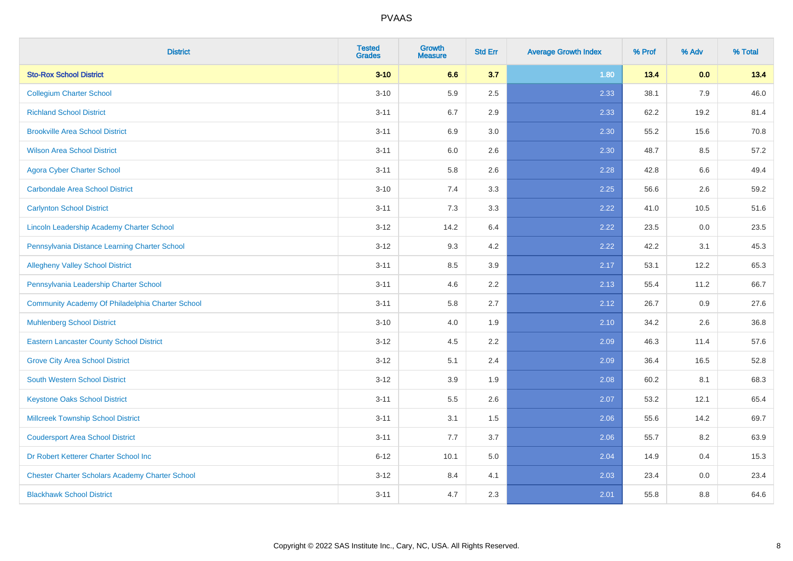| <b>District</b>                                        | <b>Tested</b><br><b>Grades</b> | <b>Growth</b><br><b>Measure</b> | <b>Std Err</b> | <b>Average Growth Index</b> | % Prof | % Adv | % Total |
|--------------------------------------------------------|--------------------------------|---------------------------------|----------------|-----------------------------|--------|-------|---------|
| <b>Sto-Rox School District</b>                         | $3 - 10$                       | 6.6                             | 3.7            | 1.80                        | 13.4   | 0.0   | 13.4    |
| <b>Collegium Charter School</b>                        | $3 - 10$                       | 5.9                             | 2.5            | 2.33                        | 38.1   | 7.9   | 46.0    |
| <b>Richland School District</b>                        | $3 - 11$                       | 6.7                             | 2.9            | 2.33                        | 62.2   | 19.2  | 81.4    |
| <b>Brookville Area School District</b>                 | $3 - 11$                       | 6.9                             | 3.0            | 2.30                        | 55.2   | 15.6  | 70.8    |
| <b>Wilson Area School District</b>                     | $3 - 11$                       | 6.0                             | 2.6            | 2.30                        | 48.7   | 8.5   | 57.2    |
| <b>Agora Cyber Charter School</b>                      | $3 - 11$                       | 5.8                             | 2.6            | 2.28                        | 42.8   | 6.6   | 49.4    |
| <b>Carbondale Area School District</b>                 | $3 - 10$                       | 7.4                             | 3.3            | 2.25                        | 56.6   | 2.6   | 59.2    |
| <b>Carlynton School District</b>                       | $3 - 11$                       | 7.3                             | 3.3            | 2.22                        | 41.0   | 10.5  | 51.6    |
| Lincoln Leadership Academy Charter School              | $3 - 12$                       | 14.2                            | 6.4            | 2.22                        | 23.5   | 0.0   | 23.5    |
| Pennsylvania Distance Learning Charter School          | $3 - 12$                       | 9.3                             | 4.2            | 2.22                        | 42.2   | 3.1   | 45.3    |
| <b>Allegheny Valley School District</b>                | $3 - 11$                       | 8.5                             | 3.9            | 2.17                        | 53.1   | 12.2  | 65.3    |
| Pennsylvania Leadership Charter School                 | $3 - 11$                       | 4.6                             | 2.2            | 2.13                        | 55.4   | 11.2  | 66.7    |
| Community Academy Of Philadelphia Charter School       | $3 - 11$                       | 5.8                             | 2.7            | 2.12                        | 26.7   | 0.9   | 27.6    |
| <b>Muhlenberg School District</b>                      | $3 - 10$                       | 4.0                             | 1.9            | 2.10                        | 34.2   | 2.6   | 36.8    |
| <b>Eastern Lancaster County School District</b>        | $3 - 12$                       | 4.5                             | 2.2            | 2.09                        | 46.3   | 11.4  | 57.6    |
| <b>Grove City Area School District</b>                 | $3 - 12$                       | 5.1                             | 2.4            | 2.09                        | 36.4   | 16.5  | 52.8    |
| <b>South Western School District</b>                   | $3 - 12$                       | 3.9                             | 1.9            | 2.08                        | 60.2   | 8.1   | 68.3    |
| <b>Keystone Oaks School District</b>                   | $3 - 11$                       | 5.5                             | 2.6            | 2.07                        | 53.2   | 12.1  | 65.4    |
| <b>Millcreek Township School District</b>              | $3 - 11$                       | 3.1                             | 1.5            | 2.06                        | 55.6   | 14.2  | 69.7    |
| <b>Coudersport Area School District</b>                | $3 - 11$                       | 7.7                             | 3.7            | 2.06                        | 55.7   | 8.2   | 63.9    |
| Dr Robert Ketterer Charter School Inc                  | $6 - 12$                       | 10.1                            | 5.0            | 2.04                        | 14.9   | 0.4   | 15.3    |
| <b>Chester Charter Scholars Academy Charter School</b> | $3 - 12$                       | 8.4                             | 4.1            | 2.03                        | 23.4   | 0.0   | 23.4    |
| <b>Blackhawk School District</b>                       | $3 - 11$                       | 4.7                             | 2.3            | 2.01                        | 55.8   | 8.8   | 64.6    |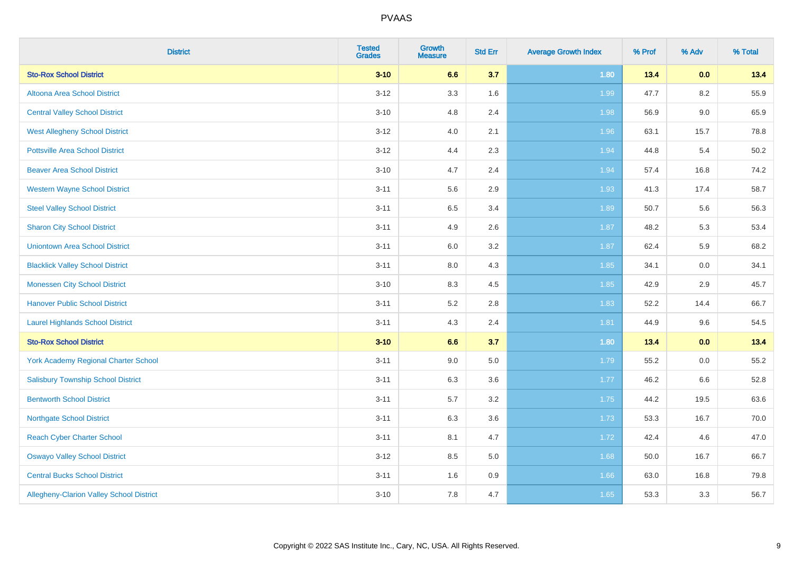| <b>District</b>                           | <b>Tested</b><br><b>Grades</b> | <b>Growth</b><br><b>Measure</b> | <b>Std Err</b> | <b>Average Growth Index</b> | % Prof | % Adv   | % Total |
|-------------------------------------------|--------------------------------|---------------------------------|----------------|-----------------------------|--------|---------|---------|
| <b>Sto-Rox School District</b>            | $3 - 10$                       | 6.6                             | 3.7            | 1.80                        | 13.4   | 0.0     | 13.4    |
| Altoona Area School District              | $3 - 12$                       | 3.3                             | 1.6            | 1.99                        | 47.7   | 8.2     | 55.9    |
| <b>Central Valley School District</b>     | $3 - 10$                       | 4.8                             | 2.4            | 1.98                        | 56.9   | 9.0     | 65.9    |
| <b>West Allegheny School District</b>     | $3 - 12$                       | 4.0                             | 2.1            | 1.96                        | 63.1   | 15.7    | 78.8    |
| <b>Pottsville Area School District</b>    | $3 - 12$                       | 4.4                             | 2.3            | 1.94                        | 44.8   | 5.4     | 50.2    |
| <b>Beaver Area School District</b>        | $3 - 10$                       | 4.7                             | 2.4            | 1.94                        | 57.4   | 16.8    | 74.2    |
| <b>Western Wayne School District</b>      | $3 - 11$                       | 5.6                             | 2.9            | 1.93                        | 41.3   | 17.4    | 58.7    |
| <b>Steel Valley School District</b>       | $3 - 11$                       | 6.5                             | 3.4            | 1.89                        | 50.7   | 5.6     | 56.3    |
| <b>Sharon City School District</b>        | $3 - 11$                       | 4.9                             | 2.6            | 1.87                        | 48.2   | 5.3     | 53.4    |
| <b>Uniontown Area School District</b>     | $3 - 11$                       | 6.0                             | 3.2            | 1.87                        | 62.4   | 5.9     | 68.2    |
| <b>Blacklick Valley School District</b>   | $3 - 11$                       | $8.0\,$                         | 4.3            | 1.85                        | 34.1   | 0.0     | 34.1    |
| <b>Monessen City School District</b>      | $3 - 10$                       | 8.3                             | 4.5            | 1.85                        | 42.9   | 2.9     | 45.7    |
| <b>Hanover Public School District</b>     | $3 - 11$                       | 5.2                             | 2.8            | 1.83                        | 52.2   | 14.4    | 66.7    |
| <b>Laurel Highlands School District</b>   | $3 - 11$                       | 4.3                             | 2.4            | 1.81                        | 44.9   | 9.6     | 54.5    |
| <b>Sto-Rox School District</b>            | $3 - 10$                       | 6.6                             | 3.7            | 1.80                        | 13.4   | 0.0     | 13.4    |
| York Academy Regional Charter School      | $3 - 11$                       | 9.0                             | 5.0            | 1.79                        | 55.2   | $0.0\,$ | 55.2    |
| <b>Salisbury Township School District</b> | $3 - 11$                       | 6.3                             | 3.6            | 1.77                        | 46.2   | 6.6     | 52.8    |
| <b>Bentworth School District</b>          | $3 - 11$                       | 5.7                             | 3.2            | 1.75                        | 44.2   | 19.5    | 63.6    |
| <b>Northgate School District</b>          | $3 - 11$                       | 6.3                             | 3.6            | 1.73                        | 53.3   | 16.7    | 70.0    |
| <b>Reach Cyber Charter School</b>         | $3 - 11$                       | 8.1                             | 4.7            | 1.72                        | 42.4   | 4.6     | 47.0    |
| <b>Oswayo Valley School District</b>      | $3 - 12$                       | 8.5                             | 5.0            | 1.68                        | 50.0   | 16.7    | 66.7    |
| <b>Central Bucks School District</b>      | $3 - 11$                       | 1.6                             | 0.9            | 1.66                        | 63.0   | 16.8    | 79.8    |
| Allegheny-Clarion Valley School District  | $3 - 10$                       | 7.8                             | 4.7            | 1.65                        | 53.3   | 3.3     | 56.7    |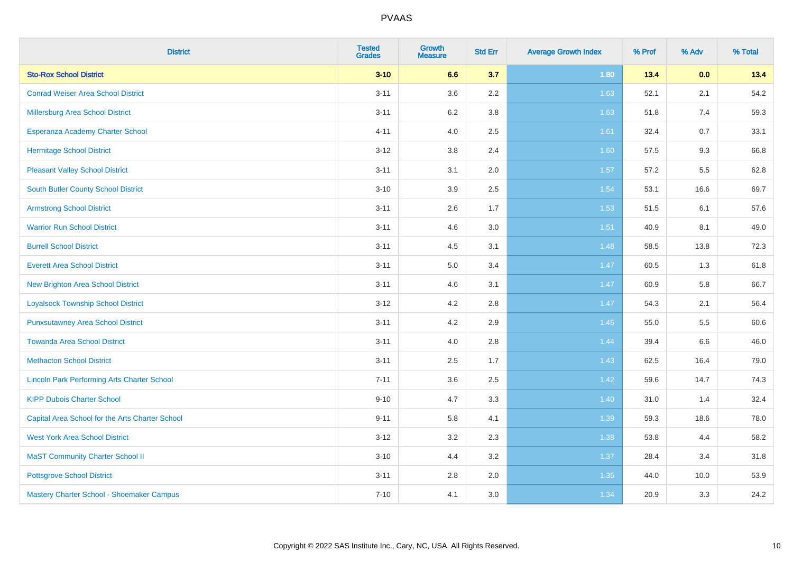| <b>District</b>                                    | <b>Tested</b><br><b>Grades</b> | <b>Growth</b><br><b>Measure</b> | <b>Std Err</b> | <b>Average Growth Index</b> | % Prof | % Adv   | % Total |
|----------------------------------------------------|--------------------------------|---------------------------------|----------------|-----------------------------|--------|---------|---------|
| <b>Sto-Rox School District</b>                     | $3 - 10$                       | 6.6                             | 3.7            | 1.80                        | 13.4   | 0.0     | 13.4    |
| <b>Conrad Weiser Area School District</b>          | $3 - 11$                       | 3.6                             | 2.2            | 1.63                        | 52.1   | 2.1     | 54.2    |
| Millersburg Area School District                   | $3 - 11$                       | 6.2                             | 3.8            | 1.63                        | 51.8   | 7.4     | 59.3    |
| <b>Esperanza Academy Charter School</b>            | $4 - 11$                       | 4.0                             | 2.5            | 1.61                        | 32.4   | 0.7     | 33.1    |
| <b>Hermitage School District</b>                   | $3 - 12$                       | 3.8                             | 2.4            | 1.60                        | 57.5   | 9.3     | 66.8    |
| <b>Pleasant Valley School District</b>             | $3 - 11$                       | 3.1                             | 2.0            | 1.57                        | 57.2   | 5.5     | 62.8    |
| <b>South Butler County School District</b>         | $3 - 10$                       | 3.9                             | 2.5            | 1.54                        | 53.1   | 16.6    | 69.7    |
| <b>Armstrong School District</b>                   | $3 - 11$                       | 2.6                             | 1.7            | 1.53                        | 51.5   | 6.1     | 57.6    |
| <b>Warrior Run School District</b>                 | $3 - 11$                       | 4.6                             | 3.0            | 1.51                        | 40.9   | 8.1     | 49.0    |
| <b>Burrell School District</b>                     | $3 - 11$                       | 4.5                             | 3.1            | 1.48                        | 58.5   | 13.8    | 72.3    |
| <b>Everett Area School District</b>                | $3 - 11$                       | 5.0                             | 3.4            | 1.47                        | 60.5   | 1.3     | 61.8    |
| <b>New Brighton Area School District</b>           | $3 - 11$                       | 4.6                             | 3.1            | 1.47                        | 60.9   | 5.8     | 66.7    |
| <b>Loyalsock Township School District</b>          | $3 - 12$                       | 4.2                             | 2.8            | 1.47                        | 54.3   | 2.1     | 56.4    |
| <b>Punxsutawney Area School District</b>           | $3 - 11$                       | 4.2                             | 2.9            | 1.45                        | 55.0   | 5.5     | 60.6    |
| <b>Towanda Area School District</b>                | $3 - 11$                       | 4.0                             | 2.8            | 1.44                        | 39.4   | $6.6\,$ | 46.0    |
| <b>Methacton School District</b>                   | $3 - 11$                       | 2.5                             | 1.7            | 1.43                        | 62.5   | 16.4    | 79.0    |
| <b>Lincoln Park Performing Arts Charter School</b> | $7 - 11$                       | 3.6                             | 2.5            | 1.42                        | 59.6   | 14.7    | 74.3    |
| <b>KIPP Dubois Charter School</b>                  | $9 - 10$                       | 4.7                             | 3.3            | 1.40                        | 31.0   | 1.4     | 32.4    |
| Capital Area School for the Arts Charter School    | $9 - 11$                       | 5.8                             | 4.1            | 1.39                        | 59.3   | 18.6    | 78.0    |
| <b>West York Area School District</b>              | $3 - 12$                       | 3.2                             | 2.3            | 1.38                        | 53.8   | 4.4     | 58.2    |
| <b>MaST Community Charter School II</b>            | $3 - 10$                       | 4.4                             | 3.2            | 1.37                        | 28.4   | 3.4     | 31.8    |
| <b>Pottsgrove School District</b>                  | $3 - 11$                       | 2.8                             | 2.0            | 1.35                        | 44.0   | 10.0    | 53.9    |
| Mastery Charter School - Shoemaker Campus          | $7 - 10$                       | 4.1                             | 3.0            | 1.34                        | 20.9   | 3.3     | 24.2    |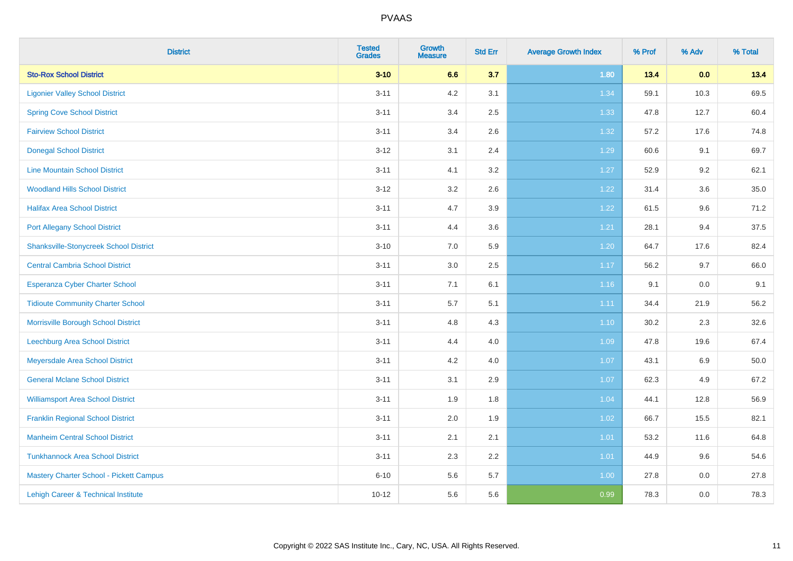| <b>District</b>                                | <b>Tested</b><br><b>Grades</b> | Growth<br><b>Measure</b> | <b>Std Err</b> | <b>Average Growth Index</b> | % Prof | % Adv | % Total |
|------------------------------------------------|--------------------------------|--------------------------|----------------|-----------------------------|--------|-------|---------|
| <b>Sto-Rox School District</b>                 | $3 - 10$                       | 6.6                      | 3.7            | 1.80                        | 13.4   | 0.0   | 13.4    |
| <b>Ligonier Valley School District</b>         | $3 - 11$                       | 4.2                      | 3.1            | 1.34                        | 59.1   | 10.3  | 69.5    |
| <b>Spring Cove School District</b>             | $3 - 11$                       | 3.4                      | 2.5            | 1.33                        | 47.8   | 12.7  | 60.4    |
| <b>Fairview School District</b>                | $3 - 11$                       | 3.4                      | 2.6            | 1.32                        | 57.2   | 17.6  | 74.8    |
| <b>Donegal School District</b>                 | $3 - 12$                       | 3.1                      | 2.4            | 1.29                        | 60.6   | 9.1   | 69.7    |
| <b>Line Mountain School District</b>           | $3 - 11$                       | 4.1                      | 3.2            | 1.27                        | 52.9   | 9.2   | 62.1    |
| <b>Woodland Hills School District</b>          | $3 - 12$                       | 3.2                      | 2.6            | 1.22                        | 31.4   | 3.6   | 35.0    |
| <b>Halifax Area School District</b>            | $3 - 11$                       | 4.7                      | 3.9            | 1.22                        | 61.5   | 9.6   | 71.2    |
| <b>Port Allegany School District</b>           | $3 - 11$                       | 4.4                      | 3.6            | 1.21                        | 28.1   | 9.4   | 37.5    |
| <b>Shanksville-Stonycreek School District</b>  | $3 - 10$                       | 7.0                      | 5.9            | 1.20                        | 64.7   | 17.6  | 82.4    |
| <b>Central Cambria School District</b>         | $3 - 11$                       | 3.0                      | 2.5            | 1.17                        | 56.2   | 9.7   | 66.0    |
| <b>Esperanza Cyber Charter School</b>          | $3 - 11$                       | 7.1                      | 6.1            | $1.16$                      | 9.1    | 0.0   | 9.1     |
| <b>Tidioute Community Charter School</b>       | $3 - 11$                       | 5.7                      | 5.1            | 1.11                        | 34.4   | 21.9  | 56.2    |
| Morrisville Borough School District            | $3 - 11$                       | 4.8                      | 4.3            | 1.10                        | 30.2   | 2.3   | 32.6    |
| Leechburg Area School District                 | $3 - 11$                       | 4.4                      | 4.0            | 1.09                        | 47.8   | 19.6  | 67.4    |
| Meyersdale Area School District                | $3 - 11$                       | 4.2                      | 4.0            | 1.07                        | 43.1   | 6.9   | 50.0    |
| <b>General Mclane School District</b>          | $3 - 11$                       | 3.1                      | 2.9            | 1.07                        | 62.3   | 4.9   | 67.2    |
| <b>Williamsport Area School District</b>       | $3 - 11$                       | 1.9                      | 1.8            | 1.04                        | 44.1   | 12.8  | 56.9    |
| <b>Franklin Regional School District</b>       | $3 - 11$                       | 2.0                      | 1.9            | 1.02                        | 66.7   | 15.5  | 82.1    |
| <b>Manheim Central School District</b>         | $3 - 11$                       | 2.1                      | 2.1            | $1.01$                      | 53.2   | 11.6  | 64.8    |
| <b>Tunkhannock Area School District</b>        | $3 - 11$                       | 2.3                      | 2.2            | 1.01                        | 44.9   | 9.6   | 54.6    |
| <b>Mastery Charter School - Pickett Campus</b> | $6 - 10$                       | 5.6                      | 5.7            | 1.00                        | 27.8   | 0.0   | 27.8    |
| Lehigh Career & Technical Institute            | $10 - 12$                      | 5.6                      | 5.6            | 0.99                        | 78.3   | 0.0   | 78.3    |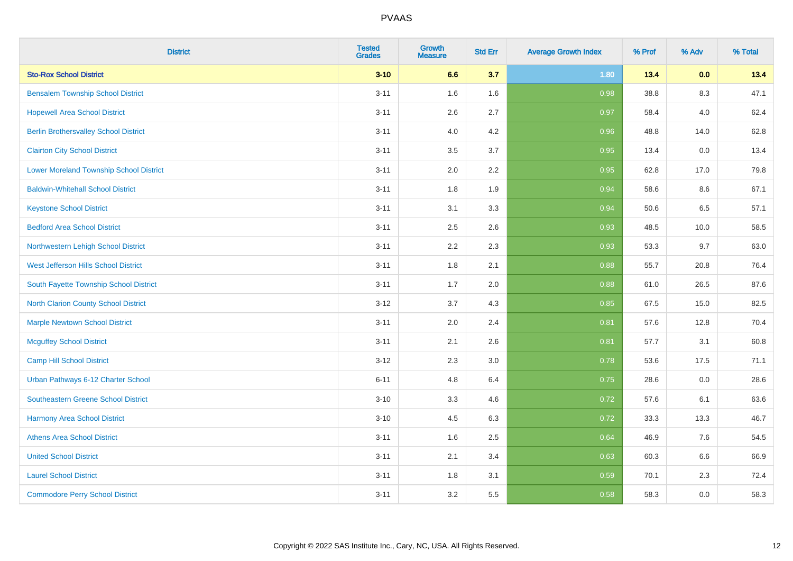| <b>District</b>                                | <b>Tested</b><br><b>Grades</b> | <b>Growth</b><br><b>Measure</b> | <b>Std Err</b> | <b>Average Growth Index</b> | % Prof | % Adv | % Total |
|------------------------------------------------|--------------------------------|---------------------------------|----------------|-----------------------------|--------|-------|---------|
| <b>Sto-Rox School District</b>                 | $3 - 10$                       | 6.6                             | 3.7            | 1.80                        | 13.4   | 0.0   | 13.4    |
| <b>Bensalem Township School District</b>       | $3 - 11$                       | 1.6                             | 1.6            | 0.98                        | 38.8   | 8.3   | 47.1    |
| <b>Hopewell Area School District</b>           | $3 - 11$                       | 2.6                             | 2.7            | 0.97                        | 58.4   | 4.0   | 62.4    |
| <b>Berlin Brothersvalley School District</b>   | $3 - 11$                       | 4.0                             | 4.2            | 0.96                        | 48.8   | 14.0  | 62.8    |
| <b>Clairton City School District</b>           | $3 - 11$                       | 3.5                             | 3.7            | 0.95                        | 13.4   | 0.0   | 13.4    |
| <b>Lower Moreland Township School District</b> | $3 - 11$                       | 2.0                             | 2.2            | 0.95                        | 62.8   | 17.0  | 79.8    |
| <b>Baldwin-Whitehall School District</b>       | $3 - 11$                       | 1.8                             | 1.9            | 0.94                        | 58.6   | 8.6   | 67.1    |
| <b>Keystone School District</b>                | $3 - 11$                       | 3.1                             | 3.3            | 0.94                        | 50.6   | 6.5   | 57.1    |
| <b>Bedford Area School District</b>            | $3 - 11$                       | 2.5                             | 2.6            | 0.93                        | 48.5   | 10.0  | 58.5    |
| Northwestern Lehigh School District            | $3 - 11$                       | 2.2                             | 2.3            | 0.93                        | 53.3   | 9.7   | 63.0    |
| West Jefferson Hills School District           | $3 - 11$                       | 1.8                             | 2.1            | 0.88                        | 55.7   | 20.8  | 76.4    |
| South Fayette Township School District         | $3 - 11$                       | 1.7                             | 2.0            | 0.88                        | 61.0   | 26.5  | 87.6    |
| <b>North Clarion County School District</b>    | $3 - 12$                       | 3.7                             | 4.3            | 0.85                        | 67.5   | 15.0  | 82.5    |
| <b>Marple Newtown School District</b>          | $3 - 11$                       | 2.0                             | 2.4            | 0.81                        | 57.6   | 12.8  | 70.4    |
| <b>Mcguffey School District</b>                | $3 - 11$                       | 2.1                             | 2.6            | 0.81                        | 57.7   | 3.1   | 60.8    |
| <b>Camp Hill School District</b>               | $3 - 12$                       | 2.3                             | 3.0            | 0.78                        | 53.6   | 17.5  | 71.1    |
| Urban Pathways 6-12 Charter School             | $6 - 11$                       | 4.8                             | 6.4            | 0.75                        | 28.6   | 0.0   | 28.6    |
| Southeastern Greene School District            | $3 - 10$                       | 3.3                             | 4.6            | $\overline{0.72}$           | 57.6   | 6.1   | 63.6    |
| <b>Harmony Area School District</b>            | $3 - 10$                       | 4.5                             | 6.3            | 0.72                        | 33.3   | 13.3  | 46.7    |
| <b>Athens Area School District</b>             | $3 - 11$                       | 1.6                             | 2.5            | 0.64                        | 46.9   | 7.6   | 54.5    |
| <b>United School District</b>                  | $3 - 11$                       | 2.1                             | 3.4            | 0.63                        | 60.3   | 6.6   | 66.9    |
| <b>Laurel School District</b>                  | $3 - 11$                       | 1.8                             | 3.1            | 0.59                        | 70.1   | 2.3   | 72.4    |
| <b>Commodore Perry School District</b>         | $3 - 11$                       | 3.2                             | 5.5            | 0.58                        | 58.3   | 0.0   | 58.3    |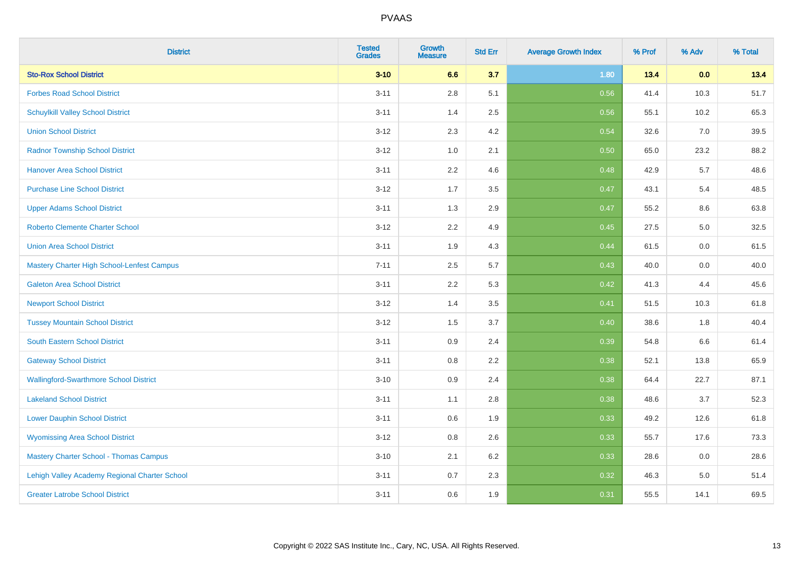| <b>District</b>                               | <b>Tested</b><br><b>Grades</b> | <b>Growth</b><br><b>Measure</b> | <b>Std Err</b> | <b>Average Growth Index</b> | % Prof | % Adv | % Total |
|-----------------------------------------------|--------------------------------|---------------------------------|----------------|-----------------------------|--------|-------|---------|
| <b>Sto-Rox School District</b>                | $3 - 10$                       | 6.6                             | 3.7            | 1.80                        | 13.4   | 0.0   | 13.4    |
| <b>Forbes Road School District</b>            | $3 - 11$                       | 2.8                             | 5.1            | 0.56                        | 41.4   | 10.3  | 51.7    |
| <b>Schuylkill Valley School District</b>      | $3 - 11$                       | 1.4                             | 2.5            | 0.56                        | 55.1   | 10.2  | 65.3    |
| <b>Union School District</b>                  | $3-12$                         | 2.3                             | 4.2            | 0.54                        | 32.6   | 7.0   | 39.5    |
| <b>Radnor Township School District</b>        | $3 - 12$                       | 1.0                             | 2.1            | 0.50                        | 65.0   | 23.2  | 88.2    |
| <b>Hanover Area School District</b>           | $3 - 11$                       | 2.2                             | 4.6            | 0.48                        | 42.9   | 5.7   | 48.6    |
| <b>Purchase Line School District</b>          | $3 - 12$                       | 1.7                             | 3.5            | 0.47                        | 43.1   | 5.4   | 48.5    |
| <b>Upper Adams School District</b>            | $3 - 11$                       | 1.3                             | 2.9            | 0.47                        | 55.2   | 8.6   | 63.8    |
| <b>Roberto Clemente Charter School</b>        | $3-12$                         | 2.2                             | 4.9            | 0.45                        | 27.5   | 5.0   | 32.5    |
| <b>Union Area School District</b>             | $3 - 11$                       | 1.9                             | 4.3            | 0.44                        | 61.5   | 0.0   | 61.5    |
| Mastery Charter High School-Lenfest Campus    | $7 - 11$                       | 2.5                             | 5.7            | $\boxed{0.43}$              | 40.0   | 0.0   | 40.0    |
| <b>Galeton Area School District</b>           | $3 - 11$                       | 2.2                             | 5.3            | 0.42                        | 41.3   | 4.4   | 45.6    |
| <b>Newport School District</b>                | $3 - 12$                       | 1.4                             | 3.5            | 0.41                        | 51.5   | 10.3  | 61.8    |
| <b>Tussey Mountain School District</b>        | $3 - 12$                       | 1.5                             | 3.7            | 0.40                        | 38.6   | 1.8   | 40.4    |
| <b>South Eastern School District</b>          | $3 - 11$                       | 0.9                             | 2.4            | 0.39                        | 54.8   | 6.6   | 61.4    |
| <b>Gateway School District</b>                | $3 - 11$                       | 0.8                             | 2.2            | 0.38                        | 52.1   | 13.8  | 65.9    |
| <b>Wallingford-Swarthmore School District</b> | $3 - 10$                       | 0.9                             | 2.4            | 0.38                        | 64.4   | 22.7  | 87.1    |
| <b>Lakeland School District</b>               | $3 - 11$                       | 1.1                             | 2.8            | 0.38                        | 48.6   | 3.7   | 52.3    |
| <b>Lower Dauphin School District</b>          | $3 - 11$                       | 0.6                             | 1.9            | 0.33                        | 49.2   | 12.6  | 61.8    |
| <b>Wyomissing Area School District</b>        | $3 - 12$                       | $0.8\,$                         | 2.6            | 0.33                        | 55.7   | 17.6  | 73.3    |
| <b>Mastery Charter School - Thomas Campus</b> | $3 - 10$                       | 2.1                             | 6.2            | 0.33                        | 28.6   | 0.0   | 28.6    |
| Lehigh Valley Academy Regional Charter School | $3 - 11$                       | 0.7                             | 2.3            | 0.32                        | 46.3   | 5.0   | 51.4    |
| <b>Greater Latrobe School District</b>        | $3 - 11$                       | 0.6                             | 1.9            | 0.31                        | 55.5   | 14.1  | 69.5    |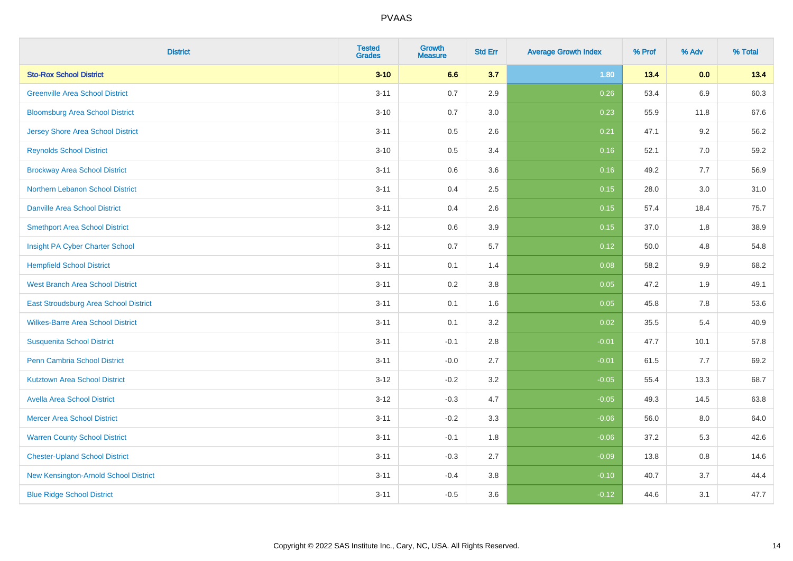| <b>District</b>                          | <b>Tested</b><br><b>Grades</b> | <b>Growth</b><br><b>Measure</b> | <b>Std Err</b> | <b>Average Growth Index</b> | % Prof | % Adv   | % Total |
|------------------------------------------|--------------------------------|---------------------------------|----------------|-----------------------------|--------|---------|---------|
| <b>Sto-Rox School District</b>           | $3 - 10$                       | 6.6                             | 3.7            | 1.80                        | 13.4   | 0.0     | 13.4    |
| <b>Greenville Area School District</b>   | $3 - 11$                       | 0.7                             | 2.9            | 0.26                        | 53.4   | 6.9     | 60.3    |
| <b>Bloomsburg Area School District</b>   | $3 - 10$                       | 0.7                             | 3.0            | 0.23                        | 55.9   | 11.8    | 67.6    |
| <b>Jersey Shore Area School District</b> | $3 - 11$                       | 0.5                             | 2.6            | 0.21                        | 47.1   | 9.2     | 56.2    |
| <b>Reynolds School District</b>          | $3 - 10$                       | 0.5                             | 3.4            | 0.16                        | 52.1   | 7.0     | 59.2    |
| <b>Brockway Area School District</b>     | $3 - 11$                       | 0.6                             | 3.6            | 0.16                        | 49.2   | 7.7     | 56.9    |
| Northern Lebanon School District         | $3 - 11$                       | 0.4                             | 2.5            | 0.15                        | 28.0   | 3.0     | 31.0    |
| <b>Danville Area School District</b>     | $3 - 11$                       | 0.4                             | 2.6            | 0.15                        | 57.4   | 18.4    | 75.7    |
| <b>Smethport Area School District</b>    | $3 - 12$                       | 0.6                             | 3.9            | 0.15                        | 37.0   | 1.8     | 38.9    |
| Insight PA Cyber Charter School          | $3 - 11$                       | 0.7                             | 5.7            | 0.12                        | 50.0   | 4.8     | 54.8    |
| <b>Hempfield School District</b>         | $3 - 11$                       | 0.1                             | 1.4            | 0.08                        | 58.2   | 9.9     | 68.2    |
| <b>West Branch Area School District</b>  | $3 - 11$                       | 0.2                             | 3.8            | 0.05                        | 47.2   | 1.9     | 49.1    |
| East Stroudsburg Area School District    | $3 - 11$                       | 0.1                             | 1.6            | 0.05                        | 45.8   | $7.8\,$ | 53.6    |
| <b>Wilkes-Barre Area School District</b> | $3 - 11$                       | 0.1                             | 3.2            | 0.02                        | 35.5   | 5.4     | 40.9    |
| <b>Susquenita School District</b>        | $3 - 11$                       | $-0.1$                          | 2.8            | $-0.01$                     | 47.7   | 10.1    | 57.8    |
| <b>Penn Cambria School District</b>      | $3 - 11$                       | $-0.0$                          | 2.7            | $-0.01$                     | 61.5   | 7.7     | 69.2    |
| <b>Kutztown Area School District</b>     | $3 - 12$                       | $-0.2$                          | 3.2            | $-0.05$                     | 55.4   | 13.3    | 68.7    |
| <b>Avella Area School District</b>       | $3 - 12$                       | $-0.3$                          | 4.7            | $-0.05$                     | 49.3   | 14.5    | 63.8    |
| <b>Mercer Area School District</b>       | $3 - 11$                       | $-0.2$                          | 3.3            | $-0.06$                     | 56.0   | 8.0     | 64.0    |
| <b>Warren County School District</b>     | $3 - 11$                       | $-0.1$                          | 1.8            | $-0.06$                     | 37.2   | 5.3     | 42.6    |
| <b>Chester-Upland School District</b>    | $3 - 11$                       | $-0.3$                          | 2.7            | $-0.09$                     | 13.8   | 0.8     | 14.6    |
| New Kensington-Arnold School District    | $3 - 11$                       | $-0.4$                          | 3.8            | $-0.10$                     | 40.7   | 3.7     | 44.4    |
| <b>Blue Ridge School District</b>        | $3 - 11$                       | $-0.5$                          | 3.6            | $-0.12$                     | 44.6   | 3.1     | 47.7    |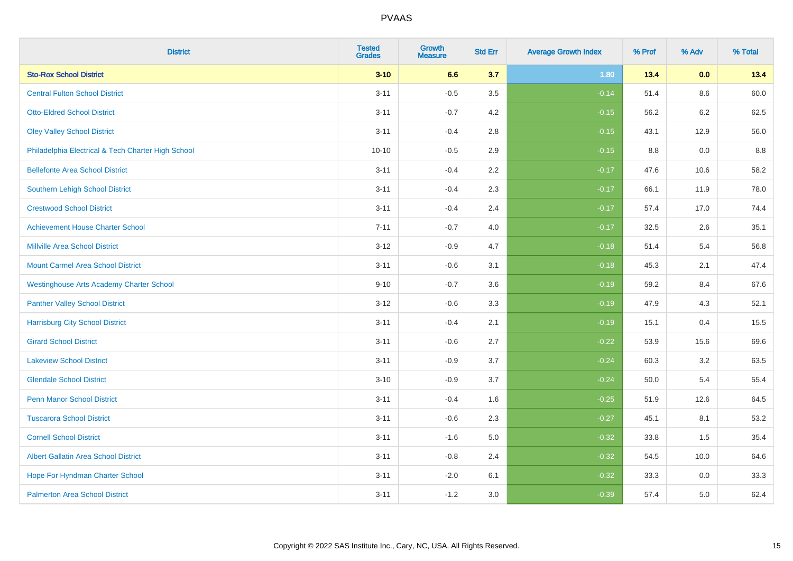| <b>District</b>                                    | <b>Tested</b><br><b>Grades</b> | <b>Growth</b><br><b>Measure</b> | <b>Std Err</b> | <b>Average Growth Index</b> | % Prof | % Adv | % Total |
|----------------------------------------------------|--------------------------------|---------------------------------|----------------|-----------------------------|--------|-------|---------|
| <b>Sto-Rox School District</b>                     | $3 - 10$                       | 6.6                             | 3.7            | 1.80                        | 13.4   | 0.0   | 13.4    |
| <b>Central Fulton School District</b>              | $3 - 11$                       | $-0.5$                          | 3.5            | $-0.14$                     | 51.4   | 8.6   | 60.0    |
| <b>Otto-Eldred School District</b>                 | $3 - 11$                       | $-0.7$                          | 4.2            | $-0.15$                     | 56.2   | 6.2   | 62.5    |
| <b>Oley Valley School District</b>                 | $3 - 11$                       | $-0.4$                          | 2.8            | $-0.15$                     | 43.1   | 12.9  | 56.0    |
| Philadelphia Electrical & Tech Charter High School | $10 - 10$                      | $-0.5$                          | 2.9            | $-0.15$                     | 8.8    | 0.0   | 8.8     |
| <b>Bellefonte Area School District</b>             | $3 - 11$                       | $-0.4$                          | 2.2            | $-0.17$                     | 47.6   | 10.6  | 58.2    |
| Southern Lehigh School District                    | $3 - 11$                       | $-0.4$                          | 2.3            | $-0.17$                     | 66.1   | 11.9  | 78.0    |
| <b>Crestwood School District</b>                   | $3 - 11$                       | $-0.4$                          | 2.4            | $-0.17$                     | 57.4   | 17.0  | 74.4    |
| <b>Achievement House Charter School</b>            | $7 - 11$                       | $-0.7$                          | 4.0            | $-0.17$                     | 32.5   | 2.6   | 35.1    |
| <b>Millville Area School District</b>              | $3 - 12$                       | $-0.9$                          | 4.7            | $-0.18$                     | 51.4   | 5.4   | 56.8    |
| <b>Mount Carmel Area School District</b>           | $3 - 11$                       | $-0.6$                          | 3.1            | $-0.18$                     | 45.3   | 2.1   | 47.4    |
| <b>Westinghouse Arts Academy Charter School</b>    | $9 - 10$                       | $-0.7$                          | 3.6            | $-0.19$                     | 59.2   | 8.4   | 67.6    |
| <b>Panther Valley School District</b>              | $3-12$                         | $-0.6$                          | 3.3            | $-0.19$                     | 47.9   | 4.3   | 52.1    |
| <b>Harrisburg City School District</b>             | $3 - 11$                       | $-0.4$                          | 2.1            | $-0.19$                     | 15.1   | 0.4   | 15.5    |
| <b>Girard School District</b>                      | $3 - 11$                       | $-0.6$                          | 2.7            | $-0.22$                     | 53.9   | 15.6  | 69.6    |
| <b>Lakeview School District</b>                    | $3 - 11$                       | $-0.9$                          | 3.7            | $-0.24$                     | 60.3   | 3.2   | 63.5    |
| <b>Glendale School District</b>                    | $3 - 10$                       | $-0.9$                          | 3.7            | $-0.24$                     | 50.0   | 5.4   | 55.4    |
| <b>Penn Manor School District</b>                  | $3 - 11$                       | $-0.4$                          | 1.6            | $-0.25$                     | 51.9   | 12.6  | 64.5    |
| <b>Tuscarora School District</b>                   | $3 - 11$                       | $-0.6$                          | 2.3            | $-0.27$                     | 45.1   | 8.1   | 53.2    |
| <b>Cornell School District</b>                     | $3 - 11$                       | $-1.6$                          | 5.0            | $-0.32$                     | 33.8   | 1.5   | 35.4    |
| <b>Albert Gallatin Area School District</b>        | $3 - 11$                       | $-0.8$                          | 2.4            | $-0.32$                     | 54.5   | 10.0  | 64.6    |
| Hope For Hyndman Charter School                    | $3 - 11$                       | $-2.0$                          | 6.1            | $-0.32$                     | 33.3   | 0.0   | 33.3    |
| <b>Palmerton Area School District</b>              | $3 - 11$                       | $-1.2$                          | 3.0            | $-0.39$                     | 57.4   | 5.0   | 62.4    |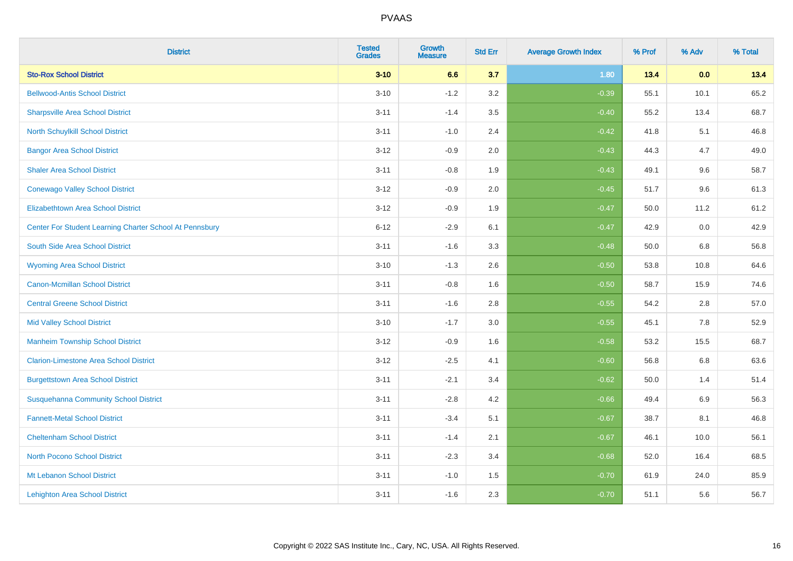| <b>District</b>                                         | <b>Tested</b><br><b>Grades</b> | <b>Growth</b><br><b>Measure</b> | <b>Std Err</b> | <b>Average Growth Index</b> | % Prof | % Adv   | % Total |
|---------------------------------------------------------|--------------------------------|---------------------------------|----------------|-----------------------------|--------|---------|---------|
| <b>Sto-Rox School District</b>                          | $3 - 10$                       | 6.6                             | 3.7            | 1.80                        | 13.4   | 0.0     | 13.4    |
| <b>Bellwood-Antis School District</b>                   | $3 - 10$                       | $-1.2$                          | 3.2            | $-0.39$                     | 55.1   | 10.1    | 65.2    |
| <b>Sharpsville Area School District</b>                 | $3 - 11$                       | $-1.4$                          | 3.5            | $-0.40$                     | 55.2   | 13.4    | 68.7    |
| North Schuylkill School District                        | $3 - 11$                       | $-1.0$                          | 2.4            | $-0.42$                     | 41.8   | 5.1     | 46.8    |
| <b>Bangor Area School District</b>                      | $3 - 12$                       | $-0.9$                          | 2.0            | $-0.43$                     | 44.3   | 4.7     | 49.0    |
| <b>Shaler Area School District</b>                      | $3 - 11$                       | $-0.8$                          | 1.9            | $-0.43$                     | 49.1   | 9.6     | 58.7    |
| <b>Conewago Valley School District</b>                  | $3 - 12$                       | $-0.9$                          | 2.0            | $-0.45$                     | 51.7   | 9.6     | 61.3    |
| <b>Elizabethtown Area School District</b>               | $3 - 12$                       | $-0.9$                          | 1.9            | $-0.47$                     | 50.0   | 11.2    | 61.2    |
| Center For Student Learning Charter School At Pennsbury | $6 - 12$                       | $-2.9$                          | 6.1            | $-0.47$                     | 42.9   | 0.0     | 42.9    |
| South Side Area School District                         | $3 - 11$                       | $-1.6$                          | 3.3            | $-0.48$                     | 50.0   | 6.8     | 56.8    |
| <b>Wyoming Area School District</b>                     | $3 - 10$                       | $-1.3$                          | 2.6            | $-0.50$                     | 53.8   | 10.8    | 64.6    |
| <b>Canon-Mcmillan School District</b>                   | $3 - 11$                       | $-0.8$                          | 1.6            | $-0.50$                     | 58.7   | 15.9    | 74.6    |
| <b>Central Greene School District</b>                   | $3 - 11$                       | $-1.6$                          | 2.8            | $-0.55$                     | 54.2   | $2.8\,$ | 57.0    |
| <b>Mid Valley School District</b>                       | $3 - 10$                       | $-1.7$                          | 3.0            | $-0.55$                     | 45.1   | 7.8     | 52.9    |
| <b>Manheim Township School District</b>                 | $3 - 12$                       | $-0.9$                          | 1.6            | $-0.58$                     | 53.2   | 15.5    | 68.7    |
| <b>Clarion-Limestone Area School District</b>           | $3 - 12$                       | $-2.5$                          | 4.1            | $-0.60$                     | 56.8   | $6.8\,$ | 63.6    |
| <b>Burgettstown Area School District</b>                | $3 - 11$                       | $-2.1$                          | 3.4            | $-0.62$                     | 50.0   | 1.4     | 51.4    |
| <b>Susquehanna Community School District</b>            | $3 - 11$                       | $-2.8$                          | 4.2            | $-0.66$                     | 49.4   | 6.9     | 56.3    |
| <b>Fannett-Metal School District</b>                    | $3 - 11$                       | $-3.4$                          | 5.1            | $-0.67$                     | 38.7   | 8.1     | 46.8    |
| <b>Cheltenham School District</b>                       | $3 - 11$                       | $-1.4$                          | 2.1            | $-0.67$                     | 46.1   | 10.0    | 56.1    |
| <b>North Pocono School District</b>                     | $3 - 11$                       | $-2.3$                          | 3.4            | $-0.68$                     | 52.0   | 16.4    | 68.5    |
| Mt Lebanon School District                              | $3 - 11$                       | $-1.0$                          | 1.5            | $-0.70$                     | 61.9   | 24.0    | 85.9    |
| <b>Lehighton Area School District</b>                   | $3 - 11$                       | $-1.6$                          | 2.3            | $-0.70$                     | 51.1   | 5.6     | 56.7    |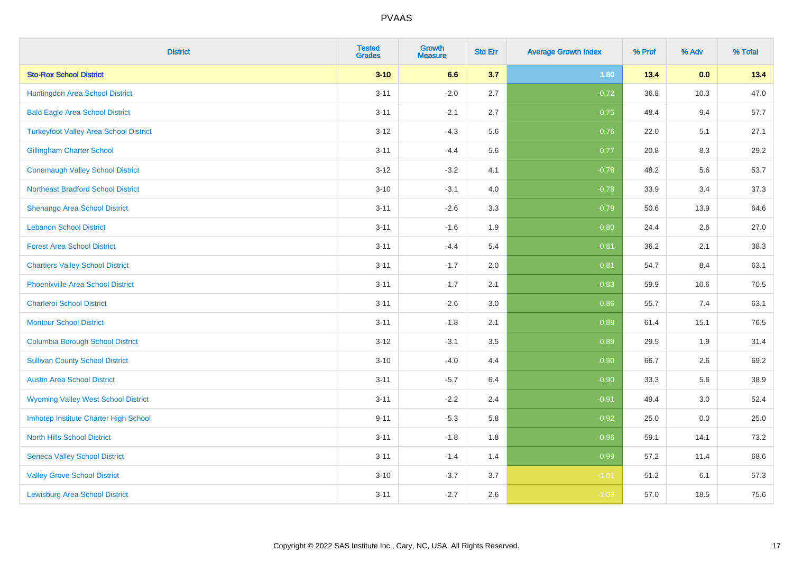| <b>District</b>                               | <b>Tested</b><br><b>Grades</b> | <b>Growth</b><br><b>Measure</b> | <b>Std Err</b> | <b>Average Growth Index</b> | % Prof | % Adv | % Total |
|-----------------------------------------------|--------------------------------|---------------------------------|----------------|-----------------------------|--------|-------|---------|
| <b>Sto-Rox School District</b>                | $3 - 10$                       | 6.6                             | 3.7            | 1.80                        | 13.4   | 0.0   | 13.4    |
| Huntingdon Area School District               | $3 - 11$                       | $-2.0$                          | 2.7            | $-0.72$                     | 36.8   | 10.3  | 47.0    |
| <b>Bald Eagle Area School District</b>        | $3 - 11$                       | $-2.1$                          | 2.7            | $-0.75$                     | 48.4   | 9.4   | 57.7    |
| <b>Turkeyfoot Valley Area School District</b> | $3 - 12$                       | $-4.3$                          | 5.6            | $-0.76$                     | 22.0   | 5.1   | 27.1    |
| <b>Gillingham Charter School</b>              | $3 - 11$                       | $-4.4$                          | 5.6            | $-0.77$                     | 20.8   | 8.3   | 29.2    |
| <b>Conemaugh Valley School District</b>       | $3 - 12$                       | $-3.2$                          | 4.1            | $-0.78$                     | 48.2   | 5.6   | 53.7    |
| <b>Northeast Bradford School District</b>     | $3 - 10$                       | $-3.1$                          | 4.0            | $-0.78$                     | 33.9   | 3.4   | 37.3    |
| <b>Shenango Area School District</b>          | $3 - 11$                       | $-2.6$                          | 3.3            | $-0.79$                     | 50.6   | 13.9  | 64.6    |
| <b>Lebanon School District</b>                | $3 - 11$                       | $-1.6$                          | 1.9            | $-0.80$                     | 24.4   | 2.6   | 27.0    |
| <b>Forest Area School District</b>            | $3 - 11$                       | $-4.4$                          | 5.4            | $-0.81$                     | 36.2   | 2.1   | 38.3    |
| <b>Chartiers Valley School District</b>       | $3 - 11$                       | $-1.7$                          | 2.0            | $-0.81$                     | 54.7   | 8.4   | 63.1    |
| <b>Phoenixville Area School District</b>      | $3 - 11$                       | $-1.7$                          | 2.1            | $-0.83$                     | 59.9   | 10.6  | 70.5    |
| <b>Charleroi School District</b>              | $3 - 11$                       | $-2.6$                          | 3.0            | $-0.86$                     | 55.7   | 7.4   | 63.1    |
| <b>Montour School District</b>                | $3 - 11$                       | $-1.8$                          | 2.1            | $-0.88$                     | 61.4   | 15.1  | 76.5    |
| <b>Columbia Borough School District</b>       | $3 - 12$                       | $-3.1$                          | 3.5            | $-0.89$                     | 29.5   | 1.9   | 31.4    |
| <b>Sullivan County School District</b>        | $3 - 10$                       | $-4.0$                          | 4.4            | $-0.90$                     | 66.7   | 2.6   | 69.2    |
| <b>Austin Area School District</b>            | $3 - 11$                       | $-5.7$                          | 6.4            | $-0.90$                     | 33.3   | 5.6   | 38.9    |
| <b>Wyoming Valley West School District</b>    | $3 - 11$                       | $-2.2$                          | 2.4            | $-0.91$                     | 49.4   | 3.0   | 52.4    |
| Imhotep Institute Charter High School         | $9 - 11$                       | $-5.3$                          | 5.8            | $-0.92$                     | 25.0   | 0.0   | 25.0    |
| <b>North Hills School District</b>            | $3 - 11$                       | $-1.8$                          | 1.8            | $-0.96$                     | 59.1   | 14.1  | 73.2    |
| <b>Seneca Valley School District</b>          | $3 - 11$                       | $-1.4$                          | 1.4            | $-0.99$                     | 57.2   | 11.4  | 68.6    |
| <b>Valley Grove School District</b>           | $3 - 10$                       | $-3.7$                          | 3.7            | $-1.01$                     | 51.2   | 6.1   | 57.3    |
| <b>Lewisburg Area School District</b>         | $3 - 11$                       | $-2.7$                          | 2.6            | $-1.03$                     | 57.0   | 18.5  | 75.6    |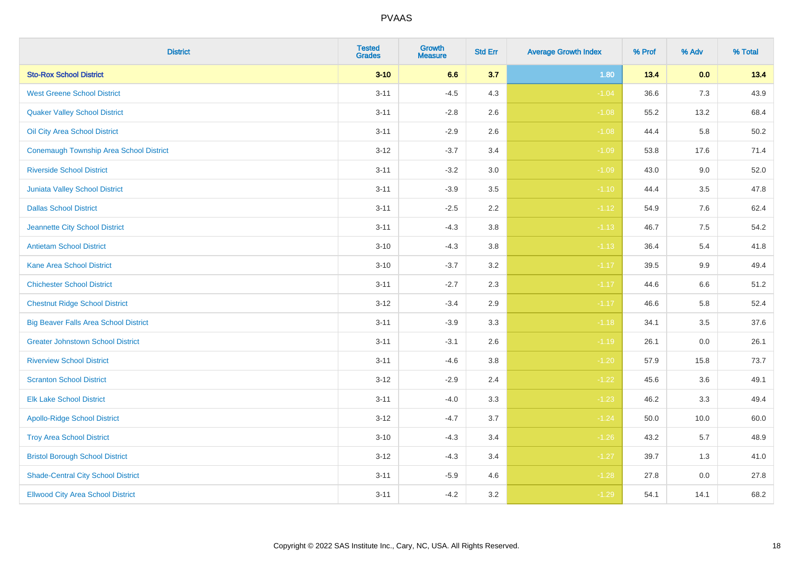| <b>District</b>                                | <b>Tested</b><br><b>Grades</b> | <b>Growth</b><br><b>Measure</b> | <b>Std Err</b> | <b>Average Growth Index</b> | % Prof | % Adv   | % Total |
|------------------------------------------------|--------------------------------|---------------------------------|----------------|-----------------------------|--------|---------|---------|
| <b>Sto-Rox School District</b>                 | $3 - 10$                       | 6.6                             | 3.7            | 1.80                        | 13.4   | 0.0     | 13.4    |
| <b>West Greene School District</b>             | $3 - 11$                       | $-4.5$                          | 4.3            | $-1.04$                     | 36.6   | 7.3     | 43.9    |
| <b>Quaker Valley School District</b>           | $3 - 11$                       | $-2.8$                          | 2.6            | $-1.08$                     | 55.2   | 13.2    | 68.4    |
| Oil City Area School District                  | $3 - 11$                       | $-2.9$                          | 2.6            | $-1.08$                     | 44.4   | 5.8     | 50.2    |
| <b>Conemaugh Township Area School District</b> | $3 - 12$                       | $-3.7$                          | 3.4            | $-1.09$                     | 53.8   | 17.6    | 71.4    |
| <b>Riverside School District</b>               | $3 - 11$                       | $-3.2$                          | 3.0            | $-1.09$                     | 43.0   | 9.0     | 52.0    |
| Juniata Valley School District                 | $3 - 11$                       | $-3.9$                          | 3.5            | $-1.10$                     | 44.4   | 3.5     | 47.8    |
| <b>Dallas School District</b>                  | $3 - 11$                       | $-2.5$                          | 2.2            | $-1.12$                     | 54.9   | 7.6     | 62.4    |
| Jeannette City School District                 | $3 - 11$                       | $-4.3$                          | 3.8            | $-1.13$                     | 46.7   | 7.5     | 54.2    |
| <b>Antietam School District</b>                | $3 - 10$                       | $-4.3$                          | 3.8            | $-1.13$                     | 36.4   | 5.4     | 41.8    |
| <b>Kane Area School District</b>               | $3 - 10$                       | $-3.7$                          | 3.2            | $-1.17$                     | 39.5   | 9.9     | 49.4    |
| <b>Chichester School District</b>              | $3 - 11$                       | $-2.7$                          | 2.3            | $-1.17$                     | 44.6   | $6.6\,$ | 51.2    |
| <b>Chestnut Ridge School District</b>          | $3 - 12$                       | $-3.4$                          | 2.9            | $-1.17$                     | 46.6   | 5.8     | 52.4    |
| <b>Big Beaver Falls Area School District</b>   | $3 - 11$                       | $-3.9$                          | 3.3            | $-1.18$                     | 34.1   | 3.5     | 37.6    |
| <b>Greater Johnstown School District</b>       | $3 - 11$                       | $-3.1$                          | 2.6            | $-1.19$                     | 26.1   | 0.0     | 26.1    |
| <b>Riverview School District</b>               | $3 - 11$                       | $-4.6$                          | 3.8            | $-1.20$                     | 57.9   | 15.8    | 73.7    |
| <b>Scranton School District</b>                | $3 - 12$                       | $-2.9$                          | 2.4            | $-1.22$                     | 45.6   | 3.6     | 49.1    |
| <b>Elk Lake School District</b>                | $3 - 11$                       | $-4.0$                          | 3.3            | $-1.23$                     | 46.2   | 3.3     | 49.4    |
| <b>Apollo-Ridge School District</b>            | $3 - 12$                       | $-4.7$                          | 3.7            | $-1.24$                     | 50.0   | 10.0    | 60.0    |
| <b>Troy Area School District</b>               | $3 - 10$                       | $-4.3$                          | 3.4            | $-1.26$                     | 43.2   | 5.7     | 48.9    |
| <b>Bristol Borough School District</b>         | $3 - 12$                       | $-4.3$                          | 3.4            | $-1.27$                     | 39.7   | 1.3     | 41.0    |
| <b>Shade-Central City School District</b>      | $3 - 11$                       | $-5.9$                          | 4.6            | $-1.28$                     | 27.8   | 0.0     | 27.8    |
| <b>Ellwood City Area School District</b>       | $3 - 11$                       | $-4.2$                          | 3.2            | $-1.29$                     | 54.1   | 14.1    | 68.2    |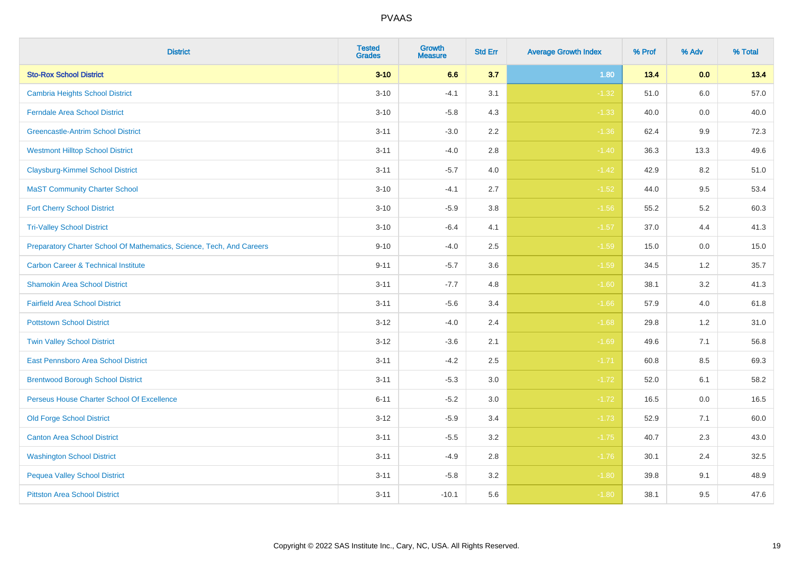| <b>District</b>                                                       | <b>Tested</b><br><b>Grades</b> | Growth<br><b>Measure</b> | <b>Std Err</b> | <b>Average Growth Index</b> | % Prof | % Adv   | % Total |
|-----------------------------------------------------------------------|--------------------------------|--------------------------|----------------|-----------------------------|--------|---------|---------|
| <b>Sto-Rox School District</b>                                        | $3 - 10$                       | 6.6                      | 3.7            | 1.80                        | 13.4   | 0.0     | 13.4    |
| <b>Cambria Heights School District</b>                                | $3 - 10$                       | $-4.1$                   | 3.1            | $-1.32$                     | 51.0   | 6.0     | 57.0    |
| <b>Ferndale Area School District</b>                                  | $3 - 10$                       | $-5.8$                   | 4.3            | $-1.33$                     | 40.0   | 0.0     | 40.0    |
| <b>Greencastle-Antrim School District</b>                             | $3 - 11$                       | $-3.0$                   | $2.2\,$        | $-1.36$                     | 62.4   | $9.9\,$ | 72.3    |
| <b>Westmont Hilltop School District</b>                               | $3 - 11$                       | $-4.0$                   | 2.8            | $-1.40$                     | 36.3   | 13.3    | 49.6    |
| <b>Claysburg-Kimmel School District</b>                               | $3 - 11$                       | $-5.7$                   | 4.0            | $-1.42$                     | 42.9   | 8.2     | 51.0    |
| <b>MaST Community Charter School</b>                                  | $3 - 10$                       | $-4.1$                   | 2.7            | $-1.52$                     | 44.0   | 9.5     | 53.4    |
| <b>Fort Cherry School District</b>                                    | $3 - 10$                       | $-5.9$                   | 3.8            | $-1.56$                     | 55.2   | 5.2     | 60.3    |
| <b>Tri-Valley School District</b>                                     | $3 - 10$                       | $-6.4$                   | 4.1            | $-1.57$                     | 37.0   | 4.4     | 41.3    |
| Preparatory Charter School Of Mathematics, Science, Tech, And Careers | $9 - 10$                       | $-4.0$                   | $2.5\,$        | $-1.59$                     | 15.0   | 0.0     | 15.0    |
| <b>Carbon Career &amp; Technical Institute</b>                        | $9 - 11$                       | $-5.7$                   | 3.6            | $-1.59$                     | 34.5   | 1.2     | 35.7    |
| <b>Shamokin Area School District</b>                                  | $3 - 11$                       | $-7.7$                   | 4.8            | $-1.60$                     | 38.1   | 3.2     | 41.3    |
| <b>Fairfield Area School District</b>                                 | $3 - 11$                       | $-5.6$                   | 3.4            | $-1.66$                     | 57.9   | 4.0     | 61.8    |
| <b>Pottstown School District</b>                                      | $3 - 12$                       | $-4.0$                   | 2.4            | $-1.68$                     | 29.8   | 1.2     | 31.0    |
| <b>Twin Valley School District</b>                                    | $3 - 12$                       | $-3.6$                   | 2.1            | $-1.69$                     | 49.6   | 7.1     | 56.8    |
| <b>East Pennsboro Area School District</b>                            | $3 - 11$                       | $-4.2$                   | 2.5            | $-1.71$                     | 60.8   | 8.5     | 69.3    |
| <b>Brentwood Borough School District</b>                              | $3 - 11$                       | $-5.3$                   | 3.0            | $-1.72$                     | 52.0   | 6.1     | 58.2    |
| Perseus House Charter School Of Excellence                            | $6 - 11$                       | $-5.2$                   | 3.0            | $-1.72$                     | 16.5   | 0.0     | 16.5    |
| <b>Old Forge School District</b>                                      | $3 - 12$                       | $-5.9$                   | 3.4            | $-1.73$                     | 52.9   | 7.1     | 60.0    |
| <b>Canton Area School District</b>                                    | $3 - 11$                       | $-5.5$                   | 3.2            | $-1.75$                     | 40.7   | 2.3     | 43.0    |
| <b>Washington School District</b>                                     | $3 - 11$                       | $-4.9$                   | 2.8            | $-1.76$                     | 30.1   | 2.4     | 32.5    |
| <b>Pequea Valley School District</b>                                  | $3 - 11$                       | $-5.8$                   | 3.2            | $-1.80$                     | 39.8   | 9.1     | 48.9    |
| <b>Pittston Area School District</b>                                  | $3 - 11$                       | $-10.1$                  | 5.6            | $-1.80$                     | 38.1   | 9.5     | 47.6    |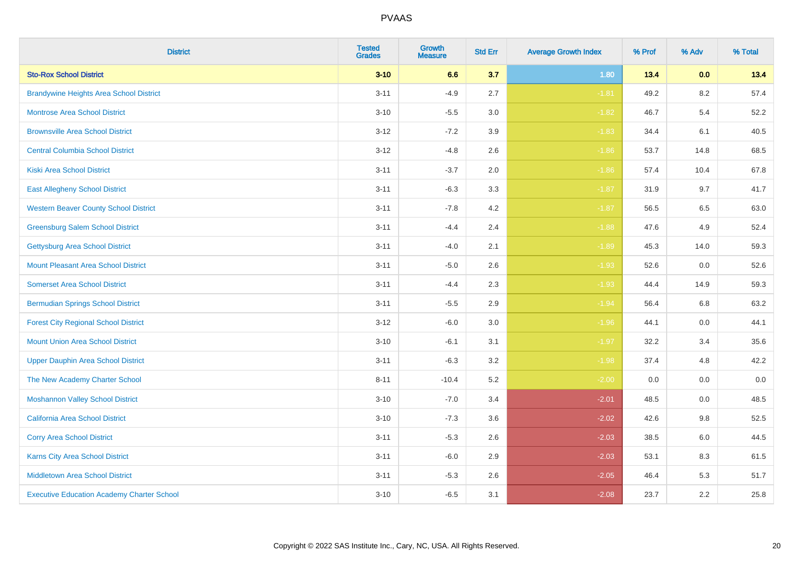| <b>District</b>                                   | <b>Tested</b><br><b>Grades</b> | Growth<br><b>Measure</b> | <b>Std Err</b> | <b>Average Growth Index</b> | % Prof | % Adv | % Total |
|---------------------------------------------------|--------------------------------|--------------------------|----------------|-----------------------------|--------|-------|---------|
| <b>Sto-Rox School District</b>                    | $3 - 10$                       | 6.6                      | 3.7            | 1.80                        | 13.4   | 0.0   | 13.4    |
| <b>Brandywine Heights Area School District</b>    | $3 - 11$                       | $-4.9$                   | 2.7            | $-1.81$                     | 49.2   | 8.2   | 57.4    |
| <b>Montrose Area School District</b>              | $3 - 10$                       | $-5.5$                   | 3.0            | $-1.82$                     | 46.7   | 5.4   | 52.2    |
| <b>Brownsville Area School District</b>           | $3 - 12$                       | $-7.2$                   | 3.9            | $-1.83$                     | 34.4   | 6.1   | 40.5    |
| <b>Central Columbia School District</b>           | $3 - 12$                       | $-4.8$                   | 2.6            | $-1.86$                     | 53.7   | 14.8  | 68.5    |
| <b>Kiski Area School District</b>                 | $3 - 11$                       | $-3.7$                   | 2.0            | $-1.86$                     | 57.4   | 10.4  | 67.8    |
| <b>East Allegheny School District</b>             | $3 - 11$                       | $-6.3$                   | 3.3            | $-1.87$                     | 31.9   | 9.7   | 41.7    |
| <b>Western Beaver County School District</b>      | $3 - 11$                       | $-7.8$                   | 4.2            | $-1.87$                     | 56.5   | 6.5   | 63.0    |
| <b>Greensburg Salem School District</b>           | $3 - 11$                       | $-4.4$                   | 2.4            | $-1.88$                     | 47.6   | 4.9   | 52.4    |
| <b>Gettysburg Area School District</b>            | $3 - 11$                       | $-4.0$                   | 2.1            | $-1.89$                     | 45.3   | 14.0  | 59.3    |
| <b>Mount Pleasant Area School District</b>        | $3 - 11$                       | $-5.0$                   | 2.6            | $-1.93$                     | 52.6   | 0.0   | 52.6    |
| <b>Somerset Area School District</b>              | $3 - 11$                       | $-4.4$                   | 2.3            | $-1.93$                     | 44.4   | 14.9  | 59.3    |
| <b>Bermudian Springs School District</b>          | $3 - 11$                       | $-5.5$                   | 2.9            | $-1.94$                     | 56.4   | 6.8   | 63.2    |
| <b>Forest City Regional School District</b>       | $3 - 12$                       | $-6.0$                   | 3.0            | $-1.96$                     | 44.1   | 0.0   | 44.1    |
| <b>Mount Union Area School District</b>           | $3 - 10$                       | $-6.1$                   | 3.1            | $-1.97$                     | 32.2   | 3.4   | 35.6    |
| <b>Upper Dauphin Area School District</b>         | $3 - 11$                       | $-6.3$                   | 3.2            | $-1.98$                     | 37.4   | 4.8   | 42.2    |
| The New Academy Charter School                    | $8 - 11$                       | $-10.4$                  | 5.2            | $-2.00$                     | 0.0    | 0.0   | $0.0\,$ |
| <b>Moshannon Valley School District</b>           | $3 - 10$                       | $-7.0$                   | 3.4            | $-2.01$                     | 48.5   | 0.0   | 48.5    |
| <b>California Area School District</b>            | $3 - 10$                       | $-7.3$                   | 3.6            | $-2.02$                     | 42.6   | 9.8   | 52.5    |
| <b>Corry Area School District</b>                 | $3 - 11$                       | $-5.3$                   | 2.6            | $-2.03$                     | 38.5   | 6.0   | 44.5    |
| <b>Karns City Area School District</b>            | $3 - 11$                       | $-6.0$                   | 2.9            | $-2.03$                     | 53.1   | 8.3   | 61.5    |
| <b>Middletown Area School District</b>            | $3 - 11$                       | $-5.3$                   | 2.6            | $-2.05$                     | 46.4   | 5.3   | 51.7    |
| <b>Executive Education Academy Charter School</b> | $3 - 10$                       | $-6.5$                   | 3.1            | $-2.08$                     | 23.7   | 2.2   | 25.8    |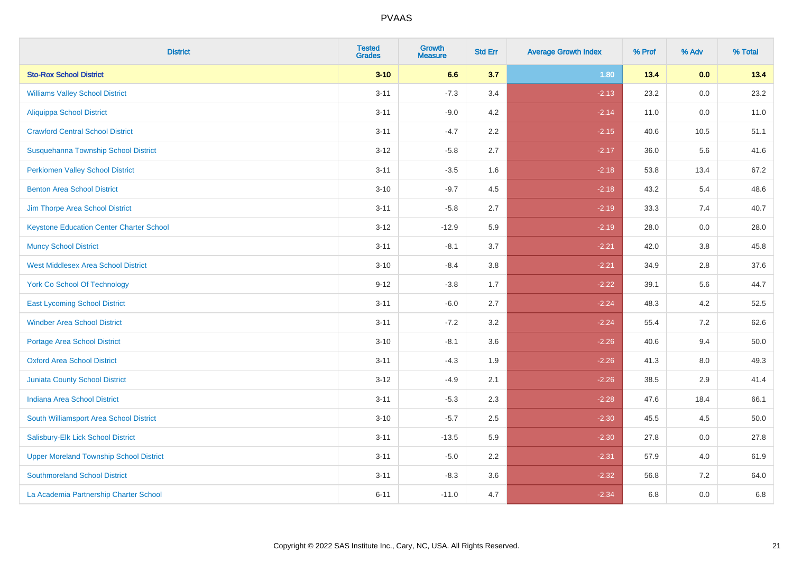| <b>District</b>                                 | <b>Tested</b><br><b>Grades</b> | <b>Growth</b><br><b>Measure</b> | <b>Std Err</b> | <b>Average Growth Index</b> | % Prof | % Adv | % Total |
|-------------------------------------------------|--------------------------------|---------------------------------|----------------|-----------------------------|--------|-------|---------|
| <b>Sto-Rox School District</b>                  | $3 - 10$                       | 6.6                             | 3.7            | 1.80                        | 13.4   | 0.0   | 13.4    |
| <b>Williams Valley School District</b>          | $3 - 11$                       | $-7.3$                          | 3.4            | $-2.13$                     | 23.2   | 0.0   | 23.2    |
| Aliquippa School District                       | $3 - 11$                       | $-9.0$                          | 4.2            | $-2.14$                     | 11.0   | 0.0   | 11.0    |
| <b>Crawford Central School District</b>         | $3 - 11$                       | $-4.7$                          | 2.2            | $-2.15$                     | 40.6   | 10.5  | 51.1    |
| Susquehanna Township School District            | $3 - 12$                       | $-5.8$                          | 2.7            | $-2.17$                     | 36.0   | 5.6   | 41.6    |
| <b>Perkiomen Valley School District</b>         | $3 - 11$                       | $-3.5$                          | 1.6            | $-2.18$                     | 53.8   | 13.4  | 67.2    |
| <b>Benton Area School District</b>              | $3 - 10$                       | $-9.7$                          | 4.5            | $-2.18$                     | 43.2   | 5.4   | 48.6    |
| Jim Thorpe Area School District                 | $3 - 11$                       | $-5.8$                          | 2.7            | $-2.19$                     | 33.3   | 7.4   | 40.7    |
| <b>Keystone Education Center Charter School</b> | $3 - 12$                       | $-12.9$                         | 5.9            | $-2.19$                     | 28.0   | 0.0   | 28.0    |
| <b>Muncy School District</b>                    | $3 - 11$                       | $-8.1$                          | 3.7            | $-2.21$                     | 42.0   | 3.8   | 45.8    |
| <b>West Middlesex Area School District</b>      | $3 - 10$                       | $-8.4$                          | 3.8            | $-2.21$                     | 34.9   | 2.8   | 37.6    |
| <b>York Co School Of Technology</b>             | $9 - 12$                       | $-3.8$                          | 1.7            | $-2.22$                     | 39.1   | 5.6   | 44.7    |
| <b>East Lycoming School District</b>            | $3 - 11$                       | $-6.0$                          | 2.7            | $-2.24$                     | 48.3   | 4.2   | 52.5    |
| <b>Windber Area School District</b>             | $3 - 11$                       | $-7.2$                          | 3.2            | $-2.24$                     | 55.4   | 7.2   | 62.6    |
| <b>Portage Area School District</b>             | $3 - 10$                       | $-8.1$                          | 3.6            | $-2.26$                     | 40.6   | 9.4   | 50.0    |
| <b>Oxford Area School District</b>              | $3 - 11$                       | $-4.3$                          | 1.9            | $-2.26$                     | 41.3   | 8.0   | 49.3    |
| <b>Juniata County School District</b>           | $3 - 12$                       | $-4.9$                          | 2.1            | $-2.26$                     | 38.5   | 2.9   | 41.4    |
| <b>Indiana Area School District</b>             | $3 - 11$                       | $-5.3$                          | 2.3            | $-2.28$                     | 47.6   | 18.4  | 66.1    |
| South Williamsport Area School District         | $3 - 10$                       | $-5.7$                          | 2.5            | $-2.30$                     | 45.5   | 4.5   | 50.0    |
| Salisbury-Elk Lick School District              | $3 - 11$                       | $-13.5$                         | 5.9            | $-2.30$                     | 27.8   | 0.0   | 27.8    |
| <b>Upper Moreland Township School District</b>  | $3 - 11$                       | $-5.0$                          | 2.2            | $-2.31$                     | 57.9   | 4.0   | 61.9    |
| <b>Southmoreland School District</b>            | $3 - 11$                       | $-8.3$                          | 3.6            | $-2.32$                     | 56.8   | 7.2   | 64.0    |
| La Academia Partnership Charter School          | $6 - 11$                       | $-11.0$                         | 4.7            | $-2.34$                     | 6.8    | 0.0   | 6.8     |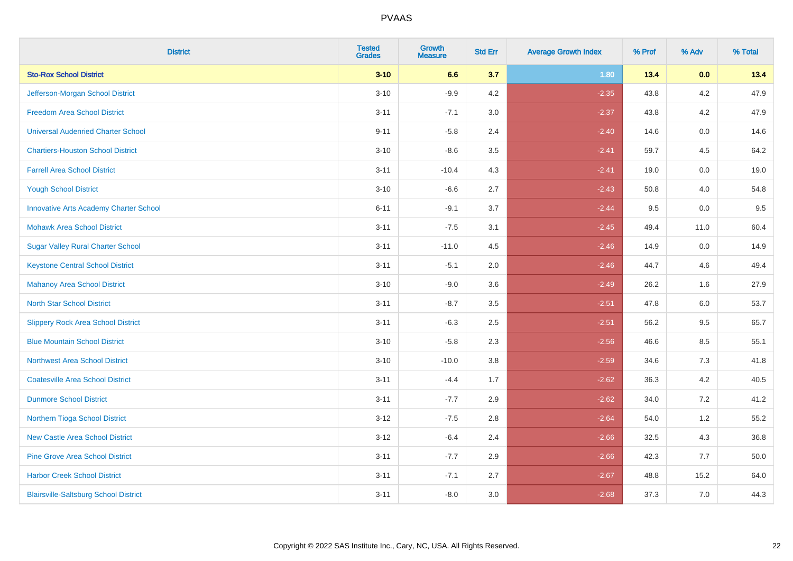| <b>District</b>                               | <b>Tested</b><br><b>Grades</b> | <b>Growth</b><br><b>Measure</b> | <b>Std Err</b> | <b>Average Growth Index</b> | % Prof | % Adv   | % Total |
|-----------------------------------------------|--------------------------------|---------------------------------|----------------|-----------------------------|--------|---------|---------|
| <b>Sto-Rox School District</b>                | $3 - 10$                       | 6.6                             | 3.7            | 1.80                        | 13.4   | 0.0     | 13.4    |
| Jefferson-Morgan School District              | $3 - 10$                       | $-9.9$                          | 4.2            | $-2.35$                     | 43.8   | $4.2\,$ | 47.9    |
| <b>Freedom Area School District</b>           | $3 - 11$                       | $-7.1$                          | 3.0            | $-2.37$                     | 43.8   | 4.2     | 47.9    |
| <b>Universal Audenried Charter School</b>     | $9 - 11$                       | $-5.8$                          | 2.4            | $-2.40$                     | 14.6   | 0.0     | 14.6    |
| <b>Chartiers-Houston School District</b>      | $3 - 10$                       | $-8.6$                          | 3.5            | $-2.41$                     | 59.7   | 4.5     | 64.2    |
| <b>Farrell Area School District</b>           | $3 - 11$                       | $-10.4$                         | 4.3            | $-2.41$                     | 19.0   | 0.0     | 19.0    |
| <b>Yough School District</b>                  | $3 - 10$                       | $-6.6$                          | 2.7            | $-2.43$                     | 50.8   | 4.0     | 54.8    |
| <b>Innovative Arts Academy Charter School</b> | $6 - 11$                       | $-9.1$                          | 3.7            | $-2.44$                     | 9.5    | 0.0     | 9.5     |
| <b>Mohawk Area School District</b>            | $3 - 11$                       | $-7.5$                          | 3.1            | $-2.45$                     | 49.4   | 11.0    | 60.4    |
| <b>Sugar Valley Rural Charter School</b>      | $3 - 11$                       | $-11.0$                         | 4.5            | $-2.46$                     | 14.9   | 0.0     | 14.9    |
| <b>Keystone Central School District</b>       | $3 - 11$                       | $-5.1$                          | 2.0            | $-2.46$                     | 44.7   | 4.6     | 49.4    |
| <b>Mahanoy Area School District</b>           | $3 - 10$                       | $-9.0$                          | 3.6            | $-2.49$                     | 26.2   | 1.6     | 27.9    |
| <b>North Star School District</b>             | $3 - 11$                       | $-8.7$                          | 3.5            | $-2.51$                     | 47.8   | 6.0     | 53.7    |
| <b>Slippery Rock Area School District</b>     | $3 - 11$                       | $-6.3$                          | 2.5            | $-2.51$                     | 56.2   | 9.5     | 65.7    |
| <b>Blue Mountain School District</b>          | $3 - 10$                       | $-5.8$                          | 2.3            | $-2.56$                     | 46.6   | 8.5     | 55.1    |
| <b>Northwest Area School District</b>         | $3 - 10$                       | $-10.0$                         | 3.8            | $-2.59$                     | 34.6   | 7.3     | 41.8    |
| <b>Coatesville Area School District</b>       | $3 - 11$                       | $-4.4$                          | 1.7            | $-2.62$                     | 36.3   | 4.2     | 40.5    |
| <b>Dunmore School District</b>                | $3 - 11$                       | $-7.7$                          | 2.9            | $-2.62$                     | 34.0   | 7.2     | 41.2    |
| Northern Tioga School District                | $3 - 12$                       | $-7.5$                          | 2.8            | $-2.64$                     | 54.0   | 1.2     | 55.2    |
| <b>New Castle Area School District</b>        | $3 - 12$                       | $-6.4$                          | 2.4            | $-2.66$                     | 32.5   | 4.3     | 36.8    |
| <b>Pine Grove Area School District</b>        | $3 - 11$                       | $-7.7$                          | 2.9            | $-2.66$                     | 42.3   | 7.7     | 50.0    |
| <b>Harbor Creek School District</b>           | $3 - 11$                       | $-7.1$                          | 2.7            | $-2.67$                     | 48.8   | 15.2    | 64.0    |
| <b>Blairsville-Saltsburg School District</b>  | $3 - 11$                       | $-8.0$                          | 3.0            | $-2.68$                     | 37.3   | 7.0     | 44.3    |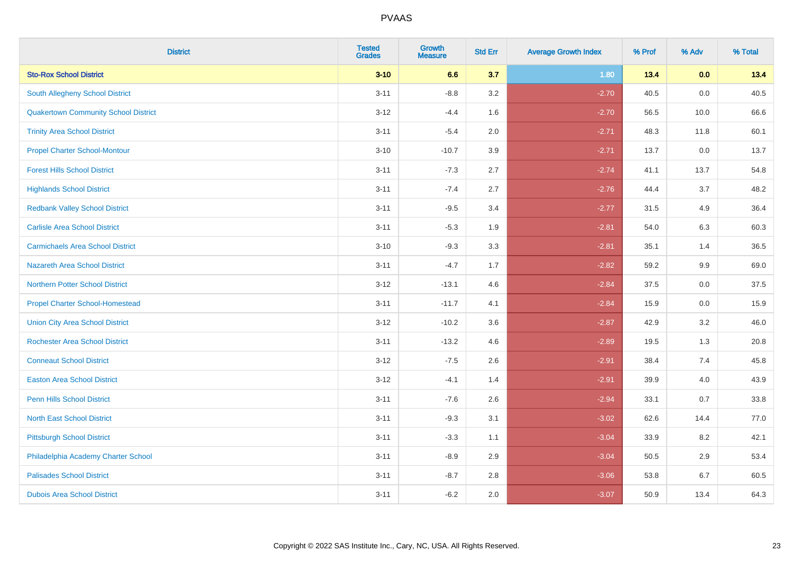| <b>District</b>                             | <b>Tested</b><br><b>Grades</b> | <b>Growth</b><br><b>Measure</b> | <b>Std Err</b> | <b>Average Growth Index</b> | % Prof | % Adv | % Total |
|---------------------------------------------|--------------------------------|---------------------------------|----------------|-----------------------------|--------|-------|---------|
| <b>Sto-Rox School District</b>              | $3 - 10$                       | 6.6                             | 3.7            | 1.80                        | 13.4   | 0.0   | 13.4    |
| <b>South Allegheny School District</b>      | $3 - 11$                       | $-8.8$                          | 3.2            | $-2.70$                     | 40.5   | 0.0   | 40.5    |
| <b>Quakertown Community School District</b> | $3 - 12$                       | $-4.4$                          | 1.6            | $-2.70$                     | 56.5   | 10.0  | 66.6    |
| <b>Trinity Area School District</b>         | $3 - 11$                       | $-5.4$                          | 2.0            | $-2.71$                     | 48.3   | 11.8  | 60.1    |
| <b>Propel Charter School-Montour</b>        | $3 - 10$                       | $-10.7$                         | 3.9            | $-2.71$                     | 13.7   | 0.0   | 13.7    |
| <b>Forest Hills School District</b>         | $3 - 11$                       | $-7.3$                          | 2.7            | $-2.74$                     | 41.1   | 13.7  | 54.8    |
| <b>Highlands School District</b>            | $3 - 11$                       | $-7.4$                          | 2.7            | $-2.76$                     | 44.4   | 3.7   | 48.2    |
| <b>Redbank Valley School District</b>       | $3 - 11$                       | $-9.5$                          | 3.4            | $-2.77$                     | 31.5   | 4.9   | 36.4    |
| <b>Carlisle Area School District</b>        | $3 - 11$                       | $-5.3$                          | 1.9            | $-2.81$                     | 54.0   | 6.3   | 60.3    |
| <b>Carmichaels Area School District</b>     | $3 - 10$                       | $-9.3$                          | 3.3            | $-2.81$                     | 35.1   | 1.4   | 36.5    |
| <b>Nazareth Area School District</b>        | $3 - 11$                       | $-4.7$                          | 1.7            | $-2.82$                     | 59.2   | 9.9   | 69.0    |
| <b>Northern Potter School District</b>      | $3-12$                         | $-13.1$                         | 4.6            | $-2.84$                     | 37.5   | 0.0   | 37.5    |
| <b>Propel Charter School-Homestead</b>      | $3 - 11$                       | $-11.7$                         | 4.1            | $-2.84$                     | 15.9   | 0.0   | 15.9    |
| <b>Union City Area School District</b>      | $3 - 12$                       | $-10.2$                         | 3.6            | $-2.87$                     | 42.9   | 3.2   | 46.0    |
| <b>Rochester Area School District</b>       | $3 - 11$                       | $-13.2$                         | 4.6            | $-2.89$                     | 19.5   | 1.3   | 20.8    |
| <b>Conneaut School District</b>             | $3 - 12$                       | $-7.5$                          | 2.6            | $-2.91$                     | 38.4   | 7.4   | 45.8    |
| <b>Easton Area School District</b>          | $3 - 12$                       | $-4.1$                          | 1.4            | $-2.91$                     | 39.9   | 4.0   | 43.9    |
| <b>Penn Hills School District</b>           | $3 - 11$                       | $-7.6$                          | 2.6            | $-2.94$                     | 33.1   | 0.7   | 33.8    |
| <b>North East School District</b>           | $3 - 11$                       | $-9.3$                          | 3.1            | $-3.02$                     | 62.6   | 14.4  | 77.0    |
| <b>Pittsburgh School District</b>           | $3 - 11$                       | $-3.3$                          | 1.1            | $-3.04$                     | 33.9   | 8.2   | 42.1    |
| Philadelphia Academy Charter School         | $3 - 11$                       | $-8.9$                          | 2.9            | $-3.04$                     | 50.5   | 2.9   | 53.4    |
| <b>Palisades School District</b>            | $3 - 11$                       | $-8.7$                          | 2.8            | $-3.06$                     | 53.8   | 6.7   | 60.5    |
| <b>Dubois Area School District</b>          | $3 - 11$                       | $-6.2$                          | 2.0            | $-3.07$                     | 50.9   | 13.4  | 64.3    |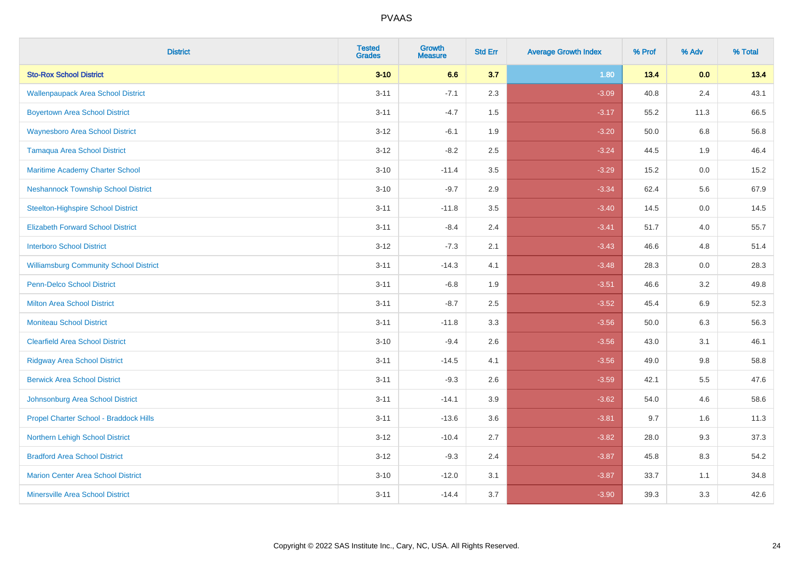| <b>District</b>                               | <b>Tested</b><br><b>Grades</b> | <b>Growth</b><br><b>Measure</b> | <b>Std Err</b> | <b>Average Growth Index</b> | % Prof | % Adv   | % Total |
|-----------------------------------------------|--------------------------------|---------------------------------|----------------|-----------------------------|--------|---------|---------|
| <b>Sto-Rox School District</b>                | $3 - 10$                       | 6.6                             | 3.7            | 1.80                        | 13.4   | 0.0     | 13.4    |
| <b>Wallenpaupack Area School District</b>     | $3 - 11$                       | $-7.1$                          | 2.3            | $-3.09$                     | 40.8   | 2.4     | 43.1    |
| <b>Boyertown Area School District</b>         | $3 - 11$                       | $-4.7$                          | 1.5            | $-3.17$                     | 55.2   | 11.3    | 66.5    |
| <b>Waynesboro Area School District</b>        | $3 - 12$                       | $-6.1$                          | 1.9            | $-3.20$                     | 50.0   | 6.8     | 56.8    |
| <b>Tamaqua Area School District</b>           | $3 - 12$                       | $-8.2$                          | 2.5            | $-3.24$                     | 44.5   | 1.9     | 46.4    |
| Maritime Academy Charter School               | $3 - 10$                       | $-11.4$                         | 3.5            | $-3.29$                     | 15.2   | 0.0     | 15.2    |
| <b>Neshannock Township School District</b>    | $3 - 10$                       | $-9.7$                          | 2.9            | $-3.34$                     | 62.4   | 5.6     | 67.9    |
| <b>Steelton-Highspire School District</b>     | $3 - 11$                       | $-11.8$                         | 3.5            | $-3.40$                     | 14.5   | 0.0     | 14.5    |
| <b>Elizabeth Forward School District</b>      | $3 - 11$                       | $-8.4$                          | 2.4            | $-3.41$                     | 51.7   | 4.0     | 55.7    |
| <b>Interboro School District</b>              | $3 - 12$                       | $-7.3$                          | 2.1            | $-3.43$                     | 46.6   | 4.8     | 51.4    |
| <b>Williamsburg Community School District</b> | $3 - 11$                       | $-14.3$                         | 4.1            | $-3.48$                     | 28.3   | 0.0     | 28.3    |
| <b>Penn-Delco School District</b>             | $3 - 11$                       | $-6.8$                          | 1.9            | $-3.51$                     | 46.6   | 3.2     | 49.8    |
| <b>Milton Area School District</b>            | $3 - 11$                       | $-8.7$                          | 2.5            | $-3.52$                     | 45.4   | $6.9\,$ | 52.3    |
| <b>Moniteau School District</b>               | $3 - 11$                       | $-11.8$                         | 3.3            | $-3.56$                     | 50.0   | 6.3     | 56.3    |
| <b>Clearfield Area School District</b>        | $3 - 10$                       | $-9.4$                          | 2.6            | $-3.56$                     | 43.0   | 3.1     | 46.1    |
| <b>Ridgway Area School District</b>           | $3 - 11$                       | $-14.5$                         | 4.1            | $-3.56$                     | 49.0   | $9.8\,$ | 58.8    |
| <b>Berwick Area School District</b>           | $3 - 11$                       | $-9.3$                          | 2.6            | $-3.59$                     | 42.1   | 5.5     | 47.6    |
| Johnsonburg Area School District              | $3 - 11$                       | $-14.1$                         | 3.9            | $-3.62$                     | 54.0   | 4.6     | 58.6    |
| Propel Charter School - Braddock Hills        | $3 - 11$                       | $-13.6$                         | 3.6            | $-3.81$                     | 9.7    | 1.6     | 11.3    |
| Northern Lehigh School District               | $3 - 12$                       | $-10.4$                         | 2.7            | $-3.82$                     | 28.0   | 9.3     | 37.3    |
| <b>Bradford Area School District</b>          | $3 - 12$                       | $-9.3$                          | 2.4            | $-3.87$                     | 45.8   | 8.3     | 54.2    |
| <b>Marion Center Area School District</b>     | $3 - 10$                       | $-12.0$                         | 3.1            | $-3.87$                     | 33.7   | 1.1     | 34.8    |
| <b>Minersville Area School District</b>       | $3 - 11$                       | $-14.4$                         | 3.7            | $-3.90$                     | 39.3   | 3.3     | 42.6    |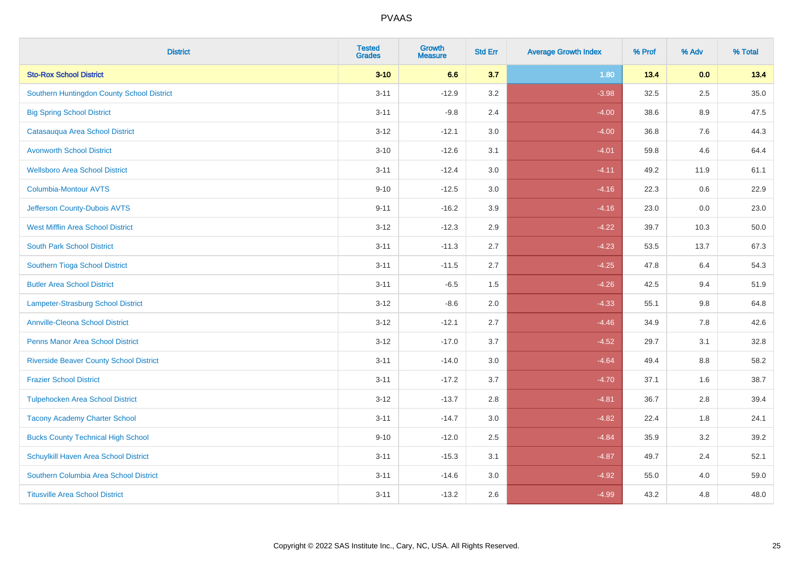| <b>District</b>                                | <b>Tested</b><br><b>Grades</b> | <b>Growth</b><br><b>Measure</b> | <b>Std Err</b> | <b>Average Growth Index</b> | % Prof | % Adv   | % Total |
|------------------------------------------------|--------------------------------|---------------------------------|----------------|-----------------------------|--------|---------|---------|
| <b>Sto-Rox School District</b>                 | $3 - 10$                       | 6.6                             | 3.7            | 1.80                        | 13.4   | 0.0     | 13.4    |
| Southern Huntingdon County School District     | $3 - 11$                       | $-12.9$                         | 3.2            | $-3.98$                     | 32.5   | 2.5     | 35.0    |
| <b>Big Spring School District</b>              | $3 - 11$                       | $-9.8$                          | 2.4            | $-4.00$                     | 38.6   | 8.9     | 47.5    |
| Catasauqua Area School District                | $3 - 12$                       | $-12.1$                         | 3.0            | $-4.00$                     | 36.8   | $7.6\,$ | 44.3    |
| <b>Avonworth School District</b>               | $3 - 10$                       | $-12.6$                         | 3.1            | $-4.01$                     | 59.8   | 4.6     | 64.4    |
| <b>Wellsboro Area School District</b>          | $3 - 11$                       | $-12.4$                         | 3.0            | $-4.11$                     | 49.2   | 11.9    | 61.1    |
| <b>Columbia-Montour AVTS</b>                   | $9 - 10$                       | $-12.5$                         | 3.0            | $-4.16$                     | 22.3   | 0.6     | 22.9    |
| Jefferson County-Dubois AVTS                   | $9 - 11$                       | $-16.2$                         | 3.9            | $-4.16$                     | 23.0   | 0.0     | 23.0    |
| <b>West Mifflin Area School District</b>       | $3 - 12$                       | $-12.3$                         | 2.9            | $-4.22$                     | 39.7   | 10.3    | 50.0    |
| <b>South Park School District</b>              | $3 - 11$                       | $-11.3$                         | 2.7            | $-4.23$                     | 53.5   | 13.7    | 67.3    |
| Southern Tioga School District                 | $3 - 11$                       | $-11.5$                         | 2.7            | $-4.25$                     | 47.8   | 6.4     | 54.3    |
| <b>Butler Area School District</b>             | $3 - 11$                       | $-6.5$                          | 1.5            | $-4.26$                     | 42.5   | 9.4     | 51.9    |
| <b>Lampeter-Strasburg School District</b>      | $3 - 12$                       | $-8.6$                          | 2.0            | $-4.33$                     | 55.1   | 9.8     | 64.8    |
| <b>Annville-Cleona School District</b>         | $3 - 12$                       | $-12.1$                         | 2.7            | $-4.46$                     | 34.9   | $7.8\,$ | 42.6    |
| <b>Penns Manor Area School District</b>        | $3 - 12$                       | $-17.0$                         | 3.7            | $-4.52$                     | 29.7   | 3.1     | 32.8    |
| <b>Riverside Beaver County School District</b> | $3 - 11$                       | $-14.0$                         | 3.0            | $-4.64$                     | 49.4   | 8.8     | 58.2    |
| <b>Frazier School District</b>                 | $3 - 11$                       | $-17.2$                         | 3.7            | $-4.70$                     | 37.1   | 1.6     | 38.7    |
| <b>Tulpehocken Area School District</b>        | $3 - 12$                       | $-13.7$                         | 2.8            | $-4.81$                     | 36.7   | 2.8     | 39.4    |
| <b>Tacony Academy Charter School</b>           | $3 - 11$                       | $-14.7$                         | 3.0            | $-4.82$                     | 22.4   | 1.8     | 24.1    |
| <b>Bucks County Technical High School</b>      | $9 - 10$                       | $-12.0$                         | 2.5            | $-4.84$                     | 35.9   | 3.2     | 39.2    |
| Schuylkill Haven Area School District          | $3 - 11$                       | $-15.3$                         | 3.1            | $-4.87$                     | 49.7   | 2.4     | 52.1    |
| Southern Columbia Area School District         | $3 - 11$                       | $-14.6$                         | 3.0            | $-4.92$                     | 55.0   | 4.0     | 59.0    |
| <b>Titusville Area School District</b>         | $3 - 11$                       | $-13.2$                         | 2.6            | $-4.99$                     | 43.2   | 4.8     | 48.0    |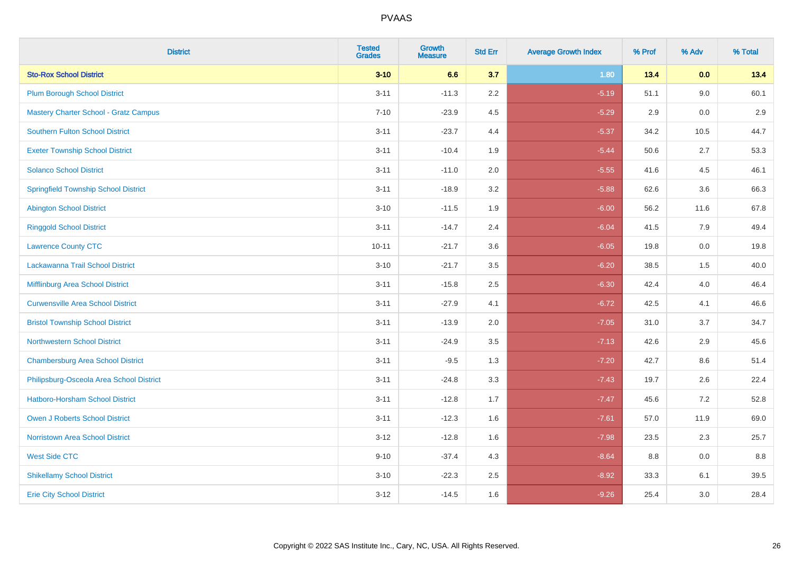| <b>District</b>                              | <b>Tested</b><br><b>Grades</b> | <b>Growth</b><br><b>Measure</b> | <b>Std Err</b> | <b>Average Growth Index</b> | % Prof | % Adv | % Total |
|----------------------------------------------|--------------------------------|---------------------------------|----------------|-----------------------------|--------|-------|---------|
| <b>Sto-Rox School District</b>               | $3 - 10$                       | 6.6                             | 3.7            | 1.80                        | 13.4   | 0.0   | 13.4    |
| <b>Plum Borough School District</b>          | $3 - 11$                       | $-11.3$                         | 2.2            | $-5.19$                     | 51.1   | 9.0   | 60.1    |
| <b>Mastery Charter School - Gratz Campus</b> | $7 - 10$                       | $-23.9$                         | 4.5            | $-5.29$                     | 2.9    | 0.0   | 2.9     |
| Southern Fulton School District              | $3 - 11$                       | $-23.7$                         | 4.4            | $-5.37$                     | 34.2   | 10.5  | 44.7    |
| <b>Exeter Township School District</b>       | $3 - 11$                       | $-10.4$                         | 1.9            | $-5.44$                     | 50.6   | 2.7   | 53.3    |
| <b>Solanco School District</b>               | $3 - 11$                       | $-11.0$                         | 2.0            | $-5.55$                     | 41.6   | 4.5   | 46.1    |
| <b>Springfield Township School District</b>  | $3 - 11$                       | $-18.9$                         | 3.2            | $-5.88$                     | 62.6   | 3.6   | 66.3    |
| <b>Abington School District</b>              | $3 - 10$                       | $-11.5$                         | 1.9            | $-6.00$                     | 56.2   | 11.6  | 67.8    |
| <b>Ringgold School District</b>              | $3 - 11$                       | $-14.7$                         | 2.4            | $-6.04$                     | 41.5   | 7.9   | 49.4    |
| <b>Lawrence County CTC</b>                   | $10 - 11$                      | $-21.7$                         | 3.6            | $-6.05$                     | 19.8   | 0.0   | 19.8    |
| Lackawanna Trail School District             | $3 - 10$                       | $-21.7$                         | 3.5            | $-6.20$                     | 38.5   | 1.5   | 40.0    |
| Mifflinburg Area School District             | $3 - 11$                       | $-15.8$                         | 2.5            | $-6.30$                     | 42.4   | 4.0   | 46.4    |
| <b>Curwensville Area School District</b>     | $3 - 11$                       | $-27.9$                         | 4.1            | $-6.72$                     | 42.5   | 4.1   | 46.6    |
| <b>Bristol Township School District</b>      | $3 - 11$                       | $-13.9$                         | 2.0            | $-7.05$                     | 31.0   | 3.7   | 34.7    |
| <b>Northwestern School District</b>          | $3 - 11$                       | $-24.9$                         | 3.5            | $-7.13$                     | 42.6   | 2.9   | 45.6    |
| <b>Chambersburg Area School District</b>     | $3 - 11$                       | $-9.5$                          | 1.3            | $-7.20$                     | 42.7   | 8.6   | 51.4    |
| Philipsburg-Osceola Area School District     | $3 - 11$                       | $-24.8$                         | 3.3            | $-7.43$                     | 19.7   | 2.6   | 22.4    |
| Hatboro-Horsham School District              | $3 - 11$                       | $-12.8$                         | 1.7            | $-7.47$                     | 45.6   | 7.2   | 52.8    |
| <b>Owen J Roberts School District</b>        | $3 - 11$                       | $-12.3$                         | 1.6            | $-7.61$                     | 57.0   | 11.9  | 69.0    |
| <b>Norristown Area School District</b>       | $3 - 12$                       | $-12.8$                         | 1.6            | $-7.98$                     | 23.5   | 2.3   | 25.7    |
| <b>West Side CTC</b>                         | $9 - 10$                       | $-37.4$                         | 4.3            | $-8.64$                     | 8.8    | 0.0   | 8.8     |
| <b>Shikellamy School District</b>            | $3 - 10$                       | $-22.3$                         | 2.5            | $-8.92$                     | 33.3   | 6.1   | 39.5    |
| <b>Erie City School District</b>             | $3 - 12$                       | $-14.5$                         | 1.6            | $-9.26$                     | 25.4   | 3.0   | 28.4    |